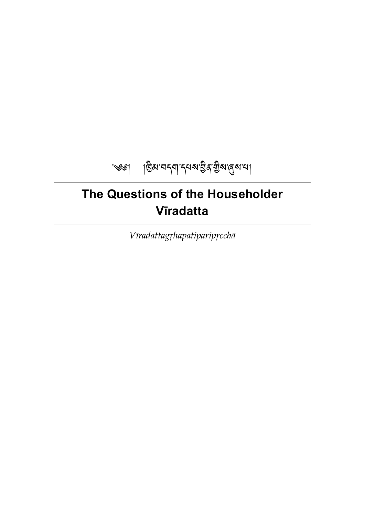

# <span id="page-0-0"></span>**The Questions of the Householder Vīradatta**

*Vīradattagṛhapatiparipṛcchā*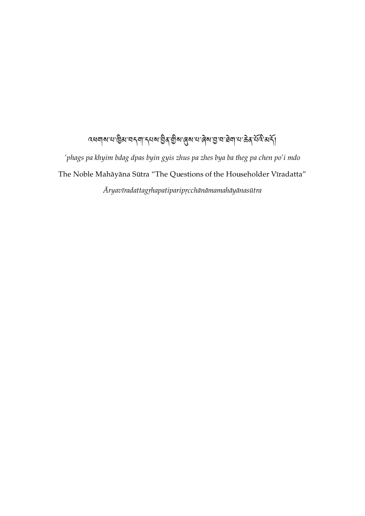# ব্ধনাৰ মান্তিৰ বৰ্ণা ব্যৰ ইৰ শ্ৰীৰ প্ৰিৰ মান্তৰ ইন প্ৰদান কৰা বিদ্যালয়

*'phags pa khyim bdag dpas byin gyis zhus pa zhes bya ba theg pa chen po'i mdo* The Noble Mahāyāna Sūtra "The Questions of the Householder Vīradatta" *Āryavīradattagṛhapatiparipṛcchānāmamahāyānasūtra*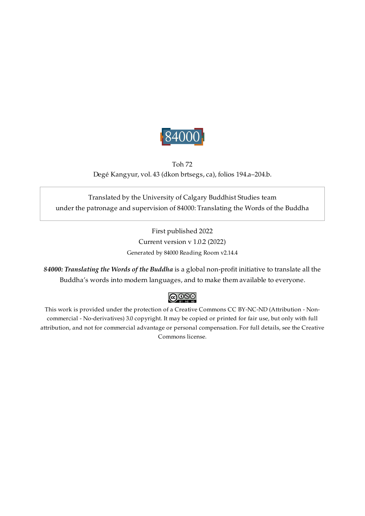

## <span id="page-2-0"></span>Toh 72 Degé Kangyur, vol. 43 (dkon brtsegs, ca), folios 194.a–204.b.

## Translated by the University of Calgary Buddhist Studies team under the patronage and supervision of 84000: Translating the Words of the Buddha

First published 2022 Current version v 1.0.2 (2022) Generated by 84000 Reading Room v2.14.4

*84000: Translating the Words of the Buddha* is a global non-profit initiative to translate all the Buddha's words into modern languages, and to make them available to everyone.

# $\bigcirc$  000

This work is provided under the protection of a Creative Commons CC BY-NC-ND (Attribution - Noncommercial - No-derivatives) 3.0 copyright. It may be copied or printed for fair use, but only with full attribution, and not for commercial advantage or personal compensation. For full details, see the Creative Commons license.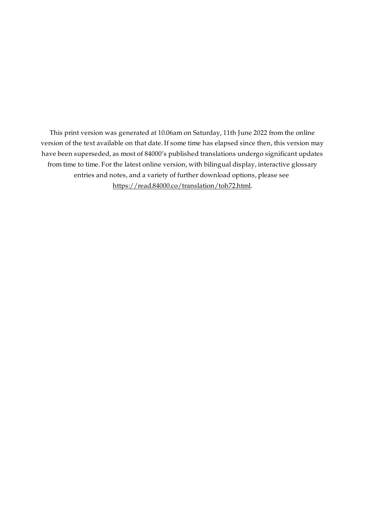This print version was generated at 10.06am on Saturday, 11th June 2022 from the online version of the text available on that date. If some time has elapsed since then, this version may have been superseded, as most of 84000's published translations undergo significant updates from time to time. For the latest online version, with bilingual display, interactive glossary entries and notes, and a variety of further download options, please see [https://read.84000.co/translation/toh72.html.](https://read.84000.co/translation/toh72.html)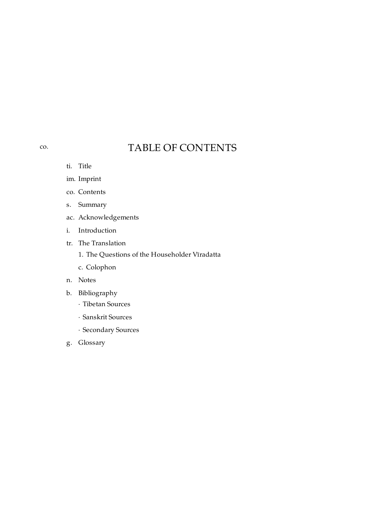# TABLE OF CONTENTS

ti. [Title](#page-0-0)

<span id="page-4-0"></span>[co.](#page-4-0)

- im. [Imprint](#page-2-0)
- co. [Contents](#page-4-0)
- s. [Summary](#page-5-0)
- ac. [Acknowledgements](#page-6-0)
- i. [Introduction](#page-7-0)
- tr. The [Translation](#page-10-0)
	- 1. The Questions of the [Householder](#page-11-0) Vīradatta
	- c. [Colophon](#page-28-0)
- n. [Notes](#page-29-0)
- b. [Bibliography](#page-33-0)
	- · Tibetan [Sources](#page-33-1)
	- · [Sanskrit](#page-34-0) Sources
	- · [Secondary](#page-35-0) Sources
- g. [Glossary](#page-38-0)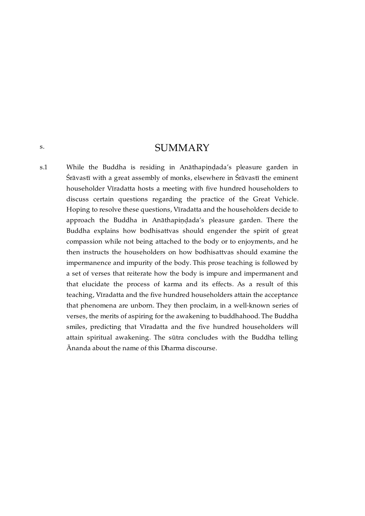## **SUMMARY**

<span id="page-5-0"></span>[s.](#page-5-0)

<span id="page-5-1"></span>While the Buddha is residing in Anāthapiṇḍada's pleasure garden in Śrāvastī with a great assembly of monks, elsewhere in Śrāvastī the eminent householder Vīradatta hosts a meeting with five hundred householders to discuss certain questions regarding the practice of the Great Vehicle. Hoping to resolve these questions, Vīradatta and the householders decide to approach the Buddha in Anāthapiṇḍada's pleasure garden. There the Buddha explains how bodhisattvas should engender the spirit of great compassion while not being attached to the body or to enjoyments, and he then instructs the householders on how bodhisattvas should examine the impermanence and impurity of the body. This prose teaching is followed by a set of verses that reiterate how the body is impure and impermanent and that elucidate the process of karma and its effects. As a result of this teaching, Vīradatta and the five hundred householders attain the acceptance that phenomena are unborn. They then proclaim, in a well-known series of verses, the merits of aspiring for the awakening to buddhahood. The Buddha smiles, predicting that Vīradatta and the five hundred householders will attain spiritual awakening. The sūtra concludes with the Buddha telling Ānanda about the name of this Dharma discourse. [s.1](#page-5-1)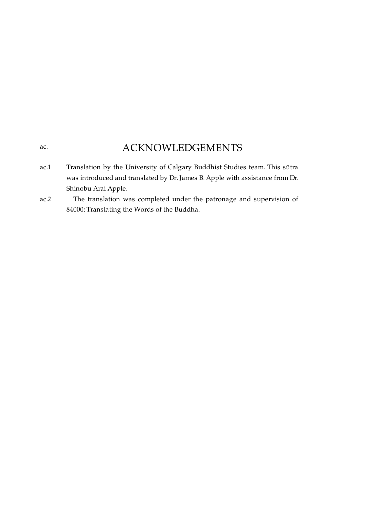# ACKNOWLEDGEMENTS

<span id="page-6-0"></span>[ac.](#page-6-0)

- <span id="page-6-1"></span>Translation by the University of Calgary Buddhist Studies team. This sūtra was introduced and translated by Dr. James B. Apple with assistance from Dr. Shinobu Arai Apple. [ac.1](#page-6-1)
- <span id="page-6-2"></span>The translation was completed under the patronage and supervision of 84000: Translating the Words of the Buddha. [ac.2](#page-6-2)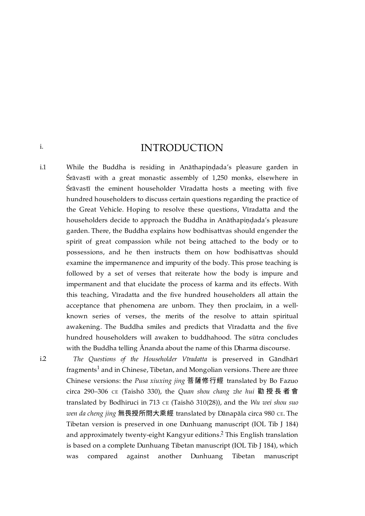INTRODUCTION

<span id="page-7-1"></span>While the Buddha is residing in Anāthapindada's pleasure garden in Śrāvastī with a great monastic assembly of 1,250 monks, elsewhere in Śrāvastī the eminent householder Vīradatta hosts a meeting with five hundred householders to discuss certain questions regarding the practice of the Great Vehicle. Hoping to resolve these questions, Vīradatta and the householders decide to approach the Buddha in Anāthapindada's pleasure garden. There, the Buddha explains how bodhisattvas should engender the spirit of great compassion while not being attached to the body or to possessions, and he then instructs them on how bodhisattvas should examine the impermanence and impurity of the body. This prose teaching is followed by a set of verses that reiterate how the body is impure and impermanent and that elucidate the process of karma and its effects. With this teaching, Vīradatta and the five hundred householders all attain the acceptance that phenomena are unborn. They then proclaim, in a wellknown series of verses, the merits of the resolve to attain spiritual awakening. The Buddha smiles and predicts that Vīradatta and the five hundred householders will awaken to buddhahood. The sūtra concludes with the Buddha telling Ānanda about the name of this Dharma discourse. [i.1](#page-7-1)

> <span id="page-7-4"></span><span id="page-7-3"></span>*The Questions of the Householder Vīradatta* is preserved in Gāndhārī fragments $^1$  $^1$  and in Chinese, Tibetan, and Mongolian versions. There are three Chinese versions: the *Pusa xiuxing jing* 菩薩修⾏經 translated by Bo Fazuo circa 290–306 ᴄᴇ (Taishō 330), the *Quan shou chang zhe hui* 勸 授 ⻑ 者 會 translated by Bodhiruci in 713 ᴄᴇ (Taishō 310(28)), and the *Wu wei shou suo wen da cheng jing* 無畏授所問⼤乘經 translated by Dānapāla circa 980 ᴄᴇ. The Tibetan version is preserved in one Dunhuang manuscript (IOL Tib J 184) and approximately twenty-eight Kangyur editions.<sup>[2](#page-29-2)</sup> This English translation is based on a complete Dunhuang Tibetan manuscript (IOL Tib J 184), which was compared against another Dunhuang Tibetan manuscript

<span id="page-7-2"></span>[i.2](#page-7-2)

<span id="page-7-0"></span>[i.](#page-7-0)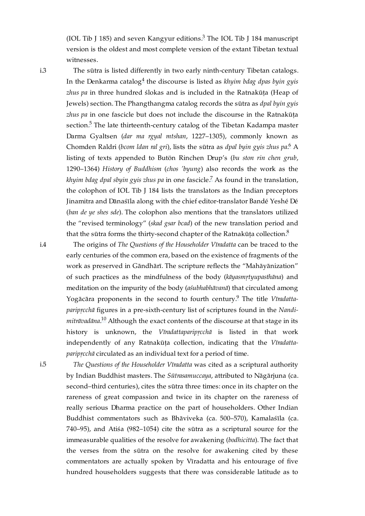<span id="page-8-3"></span>(IOL Tib J 185) and seven Kangyur editions.<sup>[3](#page-29-3)</sup> The IOL Tib J 184 manuscript version is the oldest and most complete version of the extant Tibetan textual witnesses.

<span id="page-8-0"></span>[i.3](#page-8-0)

<span id="page-8-6"></span><span id="page-8-5"></span><span id="page-8-4"></span>The sūtra is listed differently in two early ninth-century Tibetan catalogs. In the Denkarma catalog<sup>[4](#page-29-4)</sup> the discourse is listed as *khyim bdag dpas byin gyis zhus pa* in three hundred ślokas and is included in the Ratnakūta (Heap of Jewels) section. The Phangthangma catalog records the sūtra as *dpal byin gyis zhus pa* in one fascicle but does not include the discourse in the Ratnakūta section.<sup>[5](#page-29-5)</sup> The late thirteenth-century catalog of the Tibetan Kadampa master Darma Gyaltsen (*dar ma rgyal mtshan*, 1227–1305), commonly known as Chomden Raldri (*bcom ldan ral gri*), lists the sūtra as *dpal byin gyis zhus pa*. A [6](#page-29-6) listing of texts appended to Butön Rinchen Drup's (*bu ston rin chen grub*, 1290–1364) *History of Buddhism* (*chos 'byung*) also records the work as the *khyim bdag dpal sbyin gyis zhus pa* in one fascicle.<sup>[7](#page-29-7)</sup> As found in the translation, the colophon of IOL Tib J 184 lists the translators as the Indian preceptors Jinamitra and Dānaśīla along with the chief editor-translator Bandé Yeshé Dé (*ban de ye shes sde*). The colophon also mentions that the translators utilized the "revised terminology" (*skad gsar bcad*) of the new translation period and that the sūtra forms the thirty-second chapter of the Ratnakūṭa collection. $^8$  $^8$ 

<span id="page-8-1"></span>[i.4](#page-8-1)

<span id="page-8-9"></span><span id="page-8-8"></span><span id="page-8-7"></span>The origins of *The Questions of the Householder Vīradatta* can be traced to the early centuries of the common era, based on the existence of fragments of the work as preserved in Gāndhārī. The scripture reflects the "Mahāyānization" of such practices as the mindfulness of the body (*kāyasmṛtyupasthāna*) and meditation on the impurity of the body (*aśubhabhāvanā*) that circulated among Yogācāra proponents in the second to fourth century. The title *Vīradatta-*[9](#page-29-9) *paripṛcchā* figures in a pre-sixth-century list of scriptures found in the *Nandimitrāvadāna.* $^{10}$  $^{10}$  $^{10}$  Although the exact contents of the discourse at that stage in its history is unknown, the *Vīradattaparipṛcchā* is listed in that work independently of any Ratnakūṭa collection, indicating that the *Vīradattaparipṛcchā* circulated as an individual text for a period of time.

<span id="page-8-10"></span><span id="page-8-2"></span>*The Questions of the Householder Vīradatta* was cited as a scriptural authority by Indian Buddhist masters. The *Sūtrasamuccaya*, attributed to Nāgārjuna (ca. second–third centuries), cites the sūtra three times: once in its chapter on the rareness of great compassion and twice in its chapter on the rareness of really serious Dharma practice on the part of householders. Other Indian Buddhist commentators such as Bhāviveka (ca. 500–570), Kamalaśīla (ca. 740–95), and Atiśa (982–1054) cite the sūtra as a scriptural source for the immeasurable qualities of the resolve for awakening (*bodhicitta*). The fact that the verses from the sūtra on the resolve for awakening cited by these commentators are actually spoken by Vīradatta and his entourage of five hundred householders suggests that there was considerable latitude as to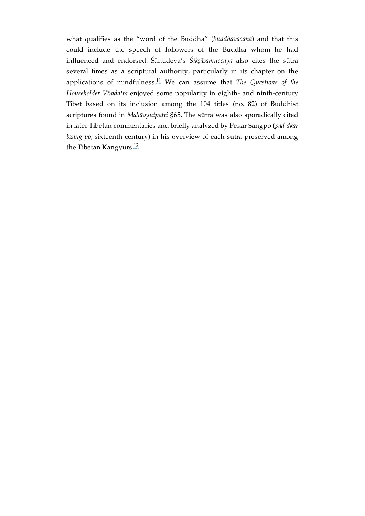<span id="page-9-1"></span><span id="page-9-0"></span>what qualifies as the "word of the Buddha" (*buddhavacana*) and that this could include the speech of followers of the Buddha whom he had influenced and endorsed. Śāntideva's *Śikṣāsamuccaya* also cites the sūtra several times as a scriptural authority, particularly in its chapter on the applications of mindfulness.<sup>[11](#page-29-11)</sup> We can assume that *The Questions of the Householder Vīradatta* enjoyed some popularity in eighth- and ninth-century Tibet based on its inclusion among the 104 titles (no. 82) of Buddhist scriptures found in *Mahāvyutpatti* §65. The sūtra was also sporadically cited in later Tibetan commentaries and briefly analyzed by Pekar Sangpo (*pad dkar bzang po*, sixteenth century) in his overview of each sūtra preserved among the Tibetan Kangyurs.<sup>[12](#page-30-0)</sup>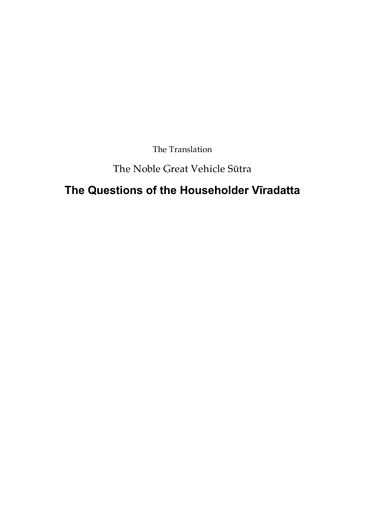The Translation

# The Noble Great Vehicle Sūtra

# <span id="page-10-0"></span>**The Questions of the Householder Vīradatta**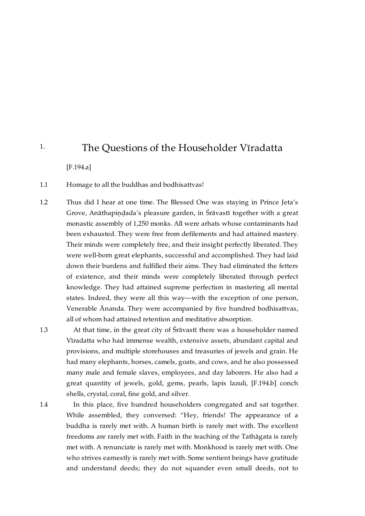### <span id="page-11-0"></span>The Questions of the Householder Vīradatta [1.](#page-11-0)

[\[F.194.a\]](https://translator:gzungs@read.84000-translate.org/source/toh72.html?ref-index=1#ajax-source)

<span id="page-11-1"></span>Homage to all the buddhas and bodhisattvas! [1.1](#page-11-1)

<span id="page-11-2"></span>Thus did I hear at one time. The Blessed One was staying in Prince Jeta's Grove, Anāthapindada's pleasure garden, in Śrāvastī together with a great monastic assembly of 1,250 monks. All were arhats whose contaminants had been exhausted. They were free from defilements and had attained mastery. Their minds were completely free, and their insight perfectly liberated. They were well-born great elephants, successful and accomplished. They had laid down their burdens and fulfilled their aims. They had eliminated the fetters of existence, and their minds were completely liberated through perfect knowledge. They had attained supreme perfection in mastering all mental states. Indeed, they were all this way—with the exception of one person, Venerable Ānanda. They were accompanied by five hundred bodhisattvas, all of whom had attained retention and meditative absorption. [1.2](#page-11-2)

<span id="page-11-3"></span>[1.3](#page-11-3)

<span id="page-11-4"></span>[1.4](#page-11-4)

At that time, in the great city of Śrāvastī there was a householder named Vīradatta who had immense wealth, extensive assets, abundant capital and provisions, and multiple storehouses and treasuries of jewels and grain. He had many elephants, horses, camels, goats, and cows, and he also possessed many male and female slaves, employees, and day laborers. He also had a great quantity of jewels, gold, gems, pearls, lapis lazuli, [\[F.194.b\]](https://translator:gzungs@read.84000-translate.org/source/toh72.html?ref-index=2#ajax-source) conch shells, crystal, coral, fine gold, and silver.

In this place, five hundred householders congregated and sat together. While assembled, they conversed: "Hey, friends! The appearance of a buddha is rarely met with. A human birth is rarely met with. The excellent freedoms are rarely met with. Faith in the teaching of the Tathāgata is rarely met with. A renunciate is rarely met with. Monkhood is rarely met with. One who strives earnestly is rarely met with. Some sentient beings have gratitude and understand deeds; they do not squander even small deeds, not to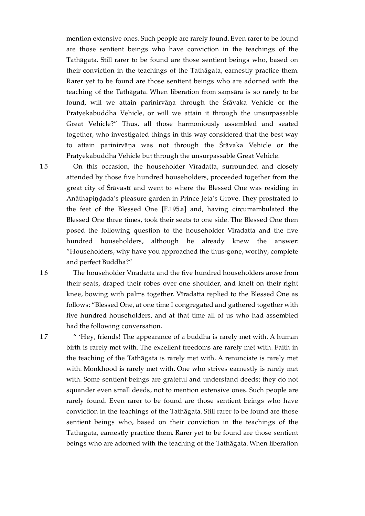mention extensive ones. Such people are rarely found. Even rarer to be found are those sentient beings who have conviction in the teachings of the Tathāgata. Still rarer to be found are those sentient beings who, based on their conviction in the teachings of the Tathāgata, earnestly practice them. Rarer yet to be found are those sentient beings who are adorned with the teaching of the Tathāgata. When liberation from saṃsāra is so rarely to be found, will we attain parinirvāṇa through the Śrāvaka Vehicle or the Pratyekabuddha Vehicle, or will we attain it through the unsurpassable Great Vehicle?" Thus, all those harmoniously assembled and seated together, who investigated things in this way considered that the best way to attain parinirvāṇa was not through the Śrāvaka Vehicle or the Pratyekabuddha Vehicle but through the unsurpassable Great Vehicle.

<span id="page-12-0"></span>On this occasion, the householder Vīradatta, surrounded and closely attended by those five hundred householders, proceeded together from the great city of Śrāvastī and went to where the Blessed One was residing in Anāthapiṇḍada's pleasure garden in Prince Jeta's Grove. They prostrated to the feet of the Blessed One [\[F.195.a\]](https://translator:gzungs@read.84000-translate.org/source/toh72.html?ref-index=3#ajax-source) and, having circumambulated the Blessed One three times, took their seats to one side. The Blessed One then posed the following question to the householder Vīradatta and the five hundred householders, although he already knew the answer: "Householders, why have you approached the thus-gone, worthy, complete and perfect Buddha?"

The householder Vīradatta and the five hundred householders arose from their seats, draped their robes over one shoulder, and knelt on their right knee, bowing with palms together. Vīradatta replied to the Blessed One as follows: "Blessed One, at one time I congregated and gathered together with five hundred householders, and at that time all of us who had assembled had the following conversation.

" 'Hey, friends! The appearance of a buddha is rarely met with. A human birth is rarely met with. The excellent freedoms are rarely met with. Faith in the teaching of the Tathāgata is rarely met with. A renunciate is rarely met with. Monkhood is rarely met with. One who strives earnestly is rarely met with. Some sentient beings are grateful and understand deeds; they do not squander even small deeds, not to mention extensive ones. Such people are rarely found. Even rarer to be found are those sentient beings who have conviction in the teachings of the Tathāgata. Still rarer to be found are those sentient beings who, based on their conviction in the teachings of the Tathāgata, earnestly practice them. Rarer yet to be found are those sentient beings who are adorned with the teaching of the Tathāgata. When liberation

<span id="page-12-1"></span>[1.6](#page-12-1)

<span id="page-12-2"></span>[1.7](#page-12-2)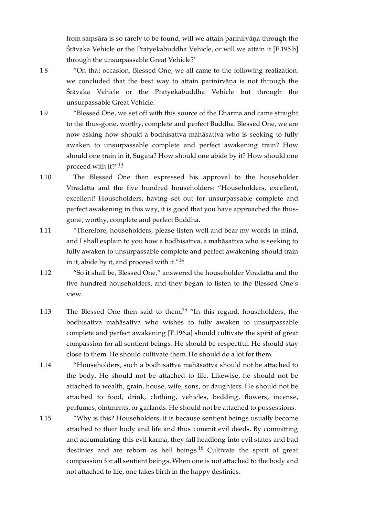from samsāra is so rarely to be found, will we attain parinirvāna through the Śrāvaka Vehicle or the Pratyekabuddha Vehicle, or will we attain it [\[F.195.b\]](https://translator:gzungs@read.84000-translate.org/source/toh72.html?ref-index=4#ajax-source) through the unsurpassable Great Vehicle?'

<span id="page-13-0"></span>[1.8](#page-13-0)

<span id="page-13-1"></span>[1.9](#page-13-1)

"On that occasion, Blessed One, we all came to the following realization: we concluded that the best way to attain parinirvāṇa is not through the Śrāvaka Vehicle or the Pratyekabuddha Vehicle but through the unsurpassable Great Vehicle.

<span id="page-13-8"></span>"Blessed One, we set off with this source of the Dharma and came straight to the thus-gone, worthy, complete and perfect Buddha. Blessed One, we are now asking how should a bodhisattva mahāsattva who is seeking to fully awaken to unsurpassable complete and perfect awakening train? How should one train in it, Sugata? How should one abide by it? How should one proceed with it?" $^{\rm 13}$  $^{\rm 13}$  $^{\rm 13}$ 

- <span id="page-13-2"></span>The Blessed One then expressed his approval to the householder Vīradatta and the five hundred householders: "Householders, excellent, excellent! Householders, having set out for unsurpassable complete and perfect awakening in this way, it is good that you have approached the thusgone, worthy, complete and perfect Buddha. [1.10](#page-13-2)
- <span id="page-13-3"></span>"Therefore, householders, please listen well and bear my words in mind, and I shall explain to you how a bodhisattva, a mahāsattva who is seeking to fully awaken to unsurpassable complete and perfect awakening should train in it, abide by it, and proceed with it." $^{14}$  $^{14}$  $^{14}$ [1.11](#page-13-3)
- <span id="page-13-9"></span><span id="page-13-4"></span>"So it shall be, Blessed One," answered the householder Vīradatta and the five hundred householders, and they began to listen to the Blessed One's view. [1.12](#page-13-4)
- <span id="page-13-10"></span><span id="page-13-5"></span>The Blessed One then said to them, $15$  "In this regard, householders, the bodhisattva mahāsattva who wishes to fully awaken to unsurpassable complete and perfect awakening [\[F.196.a\]](https://translator:gzungs@read.84000-translate.org/source/toh72.html?ref-index=5#ajax-source) should cultivate the spirit of great compassion for all sentient beings. He should be respectful. He should stay close to them. He should cultivate them. He should do a lot for them. [1.13](#page-13-5)
- <span id="page-13-6"></span>"Householders, such a bodhisattva mahāsattva should not be attached to the body. He should not be attached to life. Likewise, he should not be attached to wealth, grain, house, wife, sons, or daughters. He should not be attached to food, drink, clothing, vehicles, bedding, flowers, incense, perfumes, ointments, or garlands. He should not be attached to possessions. [1.14](#page-13-6)
- <span id="page-13-11"></span><span id="page-13-7"></span>"Why is this? Householders, it is because sentient beings usually become attached to their body and life and thus commit evil deeds. By committing and accumulating this evil karma, they fall headlong into evil states and bad destinies and are reborn as hell beings. $^{16}$  $^{16}$  $^{16}$  Cultivate the spirit of great compassion for all sentient beings. When one is not attached to the body and not attached to life, one takes birth in the happy destinies. [1.15](#page-13-7)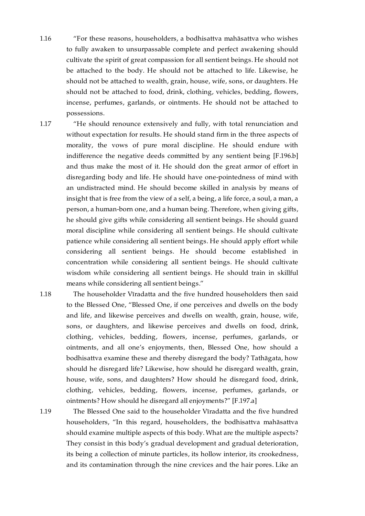- <span id="page-14-0"></span>"For these reasons, householders, a bodhisattva mahāsattva who wishes to fully awaken to unsurpassable complete and perfect awakening should cultivate the spirit of great compassion for all sentient beings. He should not be attached to the body. He should not be attached to life. Likewise, he should not be attached to wealth, grain, house, wife, sons, or daughters. He should not be attached to food, drink, clothing, vehicles, bedding, flowers, incense, perfumes, garlands, or ointments. He should not be attached to possessions. [1.16](#page-14-0)
- <span id="page-14-1"></span>"He should renounce extensively and fully, with total renunciation and without expectation for results. He should stand firm in the three aspects of morality, the vows of pure moral discipline. He should endure with indifference the negative deeds committed by any sentient being [\[F.196.b\]](https://translator:gzungs@read.84000-translate.org/source/toh72.html?ref-index=6#ajax-source) and thus make the most of it. He should don the great armor of effort in disregarding body and life. He should have one-pointedness of mind with an undistracted mind. He should become skilled in analysis by means of insight that is free from the view of a self, a being, a life force, a soul, a man, a person, a human-born one, and a human being. Therefore, when giving gifts, he should give gifts while considering all sentient beings. He should guard moral discipline while considering all sentient beings. He should cultivate patience while considering all sentient beings. He should apply effort while considering all sentient beings. He should become established in concentration while considering all sentient beings. He should cultivate wisdom while considering all sentient beings. He should train in skillful means while considering all sentient beings." [1.17](#page-14-1)
- <span id="page-14-2"></span>The householder Vīradatta and the five hundred householders then said to the Blessed One, "Blessed One, if one perceives and dwells on the body and life, and likewise perceives and dwells on wealth, grain, house, wife, sons, or daughters, and likewise perceives and dwells on food, drink, clothing, vehicles, bedding, flowers, incense, perfumes, garlands, or ointments, and all one's enjoyments, then, Blessed One, how should a bodhisattva examine these and thereby disregard the body? Tathāgata, how should he disregard life? Likewise, how should he disregard wealth, grain, house, wife, sons, and daughters? How should he disregard food, drink, clothing, vehicles, bedding, flowers, incense, perfumes, garlands, or ointments? How should he disregard all enjoyments?" [\[F.197.a\]](https://translator:gzungs@read.84000-translate.org/source/toh72.html?ref-index=7#ajax-source) [1.18](#page-14-2)

<span id="page-14-3"></span>[1.19](#page-14-3)

The Blessed One said to the householder Vīradatta and the five hundred householders, "In this regard, householders, the bodhisattva mahāsattva should examine multiple aspects of this body. What are the multiple aspects? They consist in this body's gradual development and gradual deterioration, its being a collection of minute particles, its hollow interior, its crookedness, and its contamination through the nine crevices and the hair pores. Like an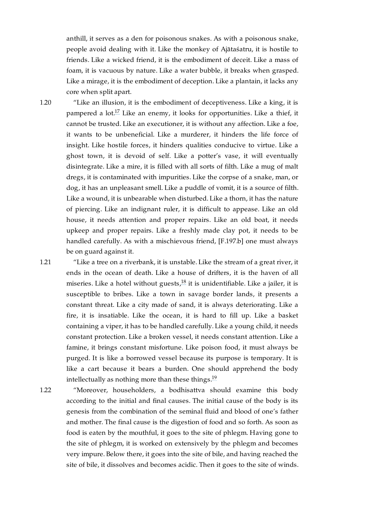anthill, it serves as a den for poisonous snakes. As with a poisonous snake, people avoid dealing with it. Like the monkey of Ajātaśatru, it is hostile to friends. Like a wicked friend, it is the embodiment of deceit. Like a mass of foam, it is vacuous by nature. Like a water bubble, it breaks when grasped. Like a mirage, it is the embodiment of deception. Like a plantain, it lacks any core when split apart.

<span id="page-15-0"></span>[1.20](#page-15-0)

<span id="page-15-3"></span>"Like an illusion, it is the embodiment of deceptiveness. Like a king, it is pampered a lot.<sup>[17](#page-30-5)</sup> Like an enemy, it looks for opportunities. Like a thief, it cannot be trusted. Like an executioner, it is without any affection. Like a foe, it wants to be unbeneficial. Like a murderer, it hinders the life force of insight. Like hostile forces, it hinders qualities conducive to virtue. Like a ghost town, it is devoid of self. Like a potter's vase, it will eventually disintegrate. Like a mire, it is filled with all sorts of filth. Like a mug of malt dregs, it is contaminated with impurities. Like the corpse of a snake, man, or dog, it has an unpleasant smell. Like a puddle of vomit, it is a source of filth. Like a wound, it is unbearable when disturbed. Like a thorn, it has the nature of piercing. Like an indignant ruler, it is difficult to appease. Like an old house, it needs attention and proper repairs. Like an old boat, it needs upkeep and proper repairs. Like a freshly made clay pot, it needs to be handled carefully. As with a mischievous friend, [\[F.197.b\]](https://translator:gzungs@read.84000-translate.org/source/toh72.html?ref-index=8#ajax-source) one must always be on guard against it.

<span id="page-15-1"></span>[1.21](#page-15-1)

<span id="page-15-4"></span>"Like a tree on a riverbank, it is unstable. Like the stream of a great river, it ends in the ocean of death. Like a house of drifters, it is the haven of all miseries. Like a hotel without guests, $^{18}$  $^{18}$  $^{18}$  it is unidentifiable. Like a jailer, it is susceptible to bribes. Like a town in savage border lands, it presents a constant threat. Like a city made of sand, it is always deteriorating. Like a fire, it is insatiable. Like the ocean, it is hard to fill up. Like a basket containing a viper, it has to be handled carefully. Like a young child, it needs constant protection. Like a broken vessel, it needs constant attention. Like a famine, it brings constant misfortune. Like poison food, it must always be purged. It is like a borrowed vessel because its purpose is temporary. It is like a cart because it bears a burden. One should apprehend the body intellectually as nothing more than these things. $^{19}$  $^{19}$  $^{19}$ 

<span id="page-15-2"></span>[1.22](#page-15-2)

<span id="page-15-5"></span>"Moreover, householders, a bodhisattva should examine this body according to the initial and final causes. The initial cause of the body is its genesis from the combination of the seminal fluid and blood of one's father and mother. The final cause is the digestion of food and so forth. As soon as food is eaten by the mouthful, it goes to the site of phlegm. Having gone to the site of phlegm, it is worked on extensively by the phlegm and becomes very impure. Below there, it goes into the site of bile, and having reached the site of bile, it dissolves and becomes acidic. Then it goes to the site of winds.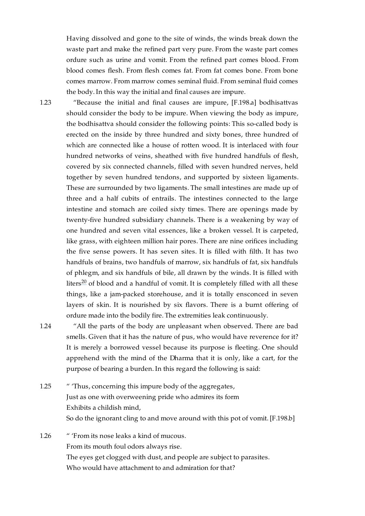Having dissolved and gone to the site of winds, the winds break down the waste part and make the refined part very pure. From the waste part comes ordure such as urine and vomit. From the refined part comes blood. From blood comes flesh. From flesh comes fat. From fat comes bone. From bone comes marrow. From marrow comes seminal fluid. From seminal fluid comes the body. In this way the initial and final causes are impure.

"Because the initial and final causes are impure, [\[F.198.a\]](https://translator:gzungs@read.84000-translate.org/source/toh72.html?ref-index=9#ajax-source) bodhisattvas should consider the body to be impure. When viewing the body as impure, the bodhisattva should consider the following points: This so-called body is erected on the inside by three hundred and sixty bones, three hundred of which are connected like a house of rotten wood. It is interlaced with four hundred networks of veins, sheathed with five hundred handfuls of flesh, covered by six connected channels, filled with seven hundred nerves, held together by seven hundred tendons, and supported by sixteen ligaments. These are surrounded by two ligaments. The small intestines are made up of three and a half cubits of entrails. The intestines connected to the large intestine and stomach are coiled sixty times. There are openings made by twenty-five hundred subsidiary channels. There is a weakening by way of one hundred and seven vital essences, like a broken vessel. It is carpeted, like grass, with eighteen million hair pores. There are nine orifices including the five sense powers. It has seven sites. It is filled with filth. It has two handfuls of brains, two handfuls of marrow, six handfuls of fat, six handfuls of phlegm, and six handfuls of bile, all drawn by the winds. It is filled with liters $^{\text{20}}$  $^{\text{20}}$  $^{\text{20}}$  of blood and a handful of vomit. It is completely filled with all these things, like a jam-packed storehouse, and it is totally ensconced in seven layers of skin. It is nourished by six flavors. There is a burnt offering of ordure made into the bodily fire. The extremities leak continuously.

<span id="page-16-1"></span>[1.24](#page-16-1)

<span id="page-16-0"></span>[1.23](#page-16-0)

<span id="page-16-4"></span>"All the parts of the body are unpleasant when observed. There are bad smells. Given that it has the nature of pus, who would have reverence for it? It is merely a borrowed vessel because its purpose is fleeting. One should apprehend with the mind of the Dharma that it is only, like a cart, for the purpose of bearing a burden. In this regard the following is said:

- <span id="page-16-2"></span>" 'Thus, concerning this impure body of the aggregates, Just as one with overweening pride who admires its form Exhibits a childish mind, So do the ignorant cling to and move around with this pot of vomit. [\[F.198.b\]](https://translator:gzungs@read.84000-translate.org/source/toh72.html?ref-index=10#ajax-source) [1.25](#page-16-2)
- <span id="page-16-3"></span>" 'From its nose leaks a kind of mucous. From its mouth foul odors always rise. The eyes get clogged with dust, and people are subject to parasites. Who would have attachment to and admiration for that? [1.26](#page-16-3)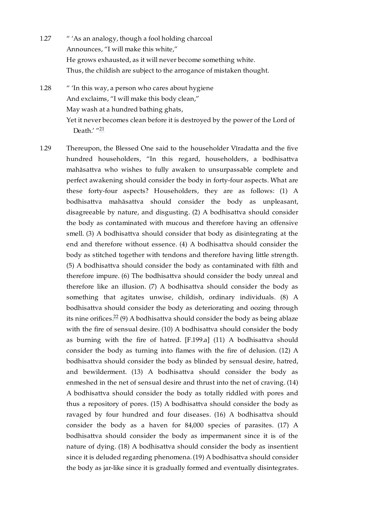- <span id="page-17-0"></span>" 'As an analogy, though a fool holding charcoal Announces, "I will make this white," He grows exhausted, as it will never become something white. Thus, the childish are subject to the arrogance of mistaken thought. [1.27](#page-17-0)
- <span id="page-17-1"></span>" 'In this way, a person who cares about hygiene And exclaims, "I will make this body clean," May wash at a hundred bathing ghats, Yet it never becomes clean before it is destroyed by the power of the Lord of Death.' "<sup>[21](#page-31-2)</sup> [1.28](#page-17-1)
- <span id="page-17-4"></span><span id="page-17-3"></span><span id="page-17-2"></span>Thereupon, the Blessed One said to the householder Vīradatta and the five hundred householders, "In this regard, householders, a bodhisattva mahāsattva who wishes to fully awaken to unsurpassable complete and perfect awakening should consider the body in forty-four aspects. What are these forty-four aspects? Householders, they are as follows: (1) A bodhisattva mahāsattva should consider the body as unpleasant, disagreeable by nature, and disgusting. (2) A bodhisattva should consider the body as contaminated with mucous and therefore having an offensive smell. (3) A bodhisattva should consider that body as disintegrating at the end and therefore without essence. (4) A bodhisattva should consider the body as stitched together with tendons and therefore having little strength. (5) A bodhisattva should consider the body as contaminated with filth and therefore impure. (6) The bodhisattva should consider the body unreal and therefore like an illusion. (7) A bodhisattva should consider the body as something that agitates unwise, childish, ordinary individuals. (8) A bodhisattva should consider the body as deteriorating and oozing through its nine orifices. $^{22}$  $^{22}$  $^{22}$  (9) A bodhisattva should consider the body as being ablaze with the fire of sensual desire. (10) A bodhisattva should consider the body as burning with the fire of hatred. [\[F.199.a\]](https://translator:gzungs@read.84000-translate.org/source/toh72.html?ref-index=11#ajax-source) (11) A bodhisattva should consider the body as turning into flames with the fire of delusion. (12) A bodhisattva should consider the body as blinded by sensual desire, hatred, and bewilderment. (13) A bodhisattva should consider the body as enmeshed in the net of sensual desire and thrust into the net of craving. (14) A bodhisattva should consider the body as totally riddled with pores and thus a repository of pores. (15) A bodhisattva should consider the body as ravaged by four hundred and four diseases. (16) A bodhisattva should consider the body as a haven for 84,000 species of parasites. (17) A bodhisattva should consider the body as impermanent since it is of the nature of dying. (18) A bodhisattva should consider the body as insentient since it is deluded regarding phenomena. (19) A bodhisattva should consider the body as jar-like since it is gradually formed and eventually disintegrates. [1.29](#page-17-2)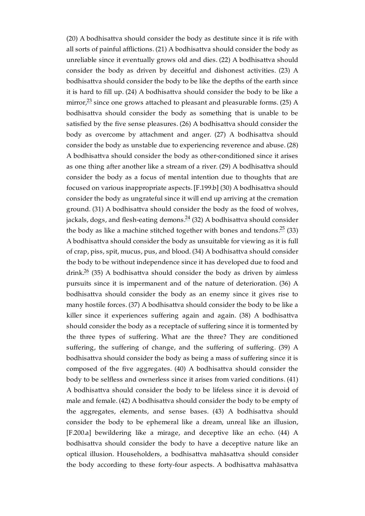<span id="page-18-3"></span><span id="page-18-2"></span><span id="page-18-1"></span><span id="page-18-0"></span>(20) A bodhisattva should consider the body as destitute since it is rife with all sorts of painful afflictions. (21) A bodhisattva should consider the body as unreliable since it eventually grows old and dies. (22) A bodhisattva should consider the body as driven by deceitful and dishonest activities. (23) A bodhisattva should consider the body to be like the depths of the earth since it is hard to fill up. (24) A bodhisattva should consider the body to be like a mirror, $^{23}$  $^{23}$  $^{23}$  since one grows attached to pleasant and pleasurable forms. (25) A bodhisattva should consider the body as something that is unable to be satisfied by the five sense pleasures. (26) A bodhisattva should consider the body as overcome by attachment and anger. (27) A bodhisattva should consider the body as unstable due to experiencing reverence and abuse. (28) A bodhisattva should consider the body as other-conditioned since it arises as one thing after another like a stream of a river. (29) A bodhisattva should consider the body as a focus of mental intention due to thoughts that are focused on various inappropriate aspects. [\[F.199.b\]](https://translator:gzungs@read.84000-translate.org/source/toh72.html?ref-index=12#ajax-source) (30) A bodhisattva should consider the body as ungrateful since it will end up arriving at the cremation ground. (31) A bodhisattva should consider the body as the food of wolves, jackals, dogs, and flesh-eating demons. $^{24}$  $^{24}$  $^{24}$  (32) A bodhisattva should consider the body as like a machine stitched together with bones and tendons. $25(33)$  $25(33)$ A bodhisattva should consider the body as unsuitable for viewing as it is full of crap, piss, spit, mucus, pus, and blood. (34) A bodhisattva should consider the body to be without independence since it has developed due to food and drink. $26$  (35) A bodhisattva should consider the body as driven by aimless pursuits since it is impermanent and of the nature of deterioration. (36) A bodhisattva should consider the body as an enemy since it gives rise to many hostile forces. (37) A bodhisattva should consider the body to be like a killer since it experiences suffering again and again. (38) A bodhisattva should consider the body as a receptacle of suffering since it is tormented by the three types of suffering. What are the three? They are conditioned suffering, the suffering of change, and the suffering of suffering. (39) A bodhisattva should consider the body as being a mass of suffering since it is composed of the five aggregates. (40) A bodhisattva should consider the body to be selfless and ownerless since it arises from varied conditions. (41) A bodhisattva should consider the body to be lifeless since it is devoid of male and female. (42) A bodhisattva should consider the body to be empty of the aggregates, elements, and sense bases. (43) A bodhisattva should consider the body to be ephemeral like a dream, unreal like an illusion, [\[F.200.a\]](https://translator:gzungs@read.84000-translate.org/source/toh72.html?ref-index=13#ajax-source) bewildering like a mirage, and deceptive like an echo. (44) A bodhisattva should consider the body to have a deceptive nature like an optical illusion. Householders, a bodhisattva mahāsattva should consider the body according to these forty-four aspects. A bodhisattva mahāsattva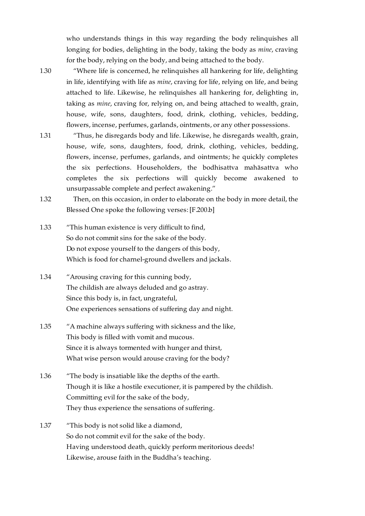who understands things in this way regarding the body relinquishes all longing for bodies, delighting in the body, taking the body as *mine*, craving for the body, relying on the body, and being attached to the body.

<span id="page-19-0"></span>[1.30](#page-19-0)

"Where life is concerned, he relinquishes all hankering for life, delighting in life, identifying with life as *mine*, craving for life, relying on life, and being attached to life. Likewise, he relinquishes all hankering for, delighting in, taking as *mine*, craving for, relying on, and being attached to wealth, grain, house, wife, sons, daughters, food, drink, clothing, vehicles, bedding, flowers, incense, perfumes, garlands, ointments, or any other possessions.

<span id="page-19-1"></span>"Thus, he disregards body and life. Likewise, he disregards wealth, grain, house, wife, sons, daughters, food, drink, clothing, vehicles, bedding, flowers, incense, perfumes, garlands, and ointments; he quickly completes the six perfections. Householders, the bodhisattva mahāsattva who completes the six perfections will quickly become awakened to unsurpassable complete and perfect awakening." [1.31](#page-19-1)

<span id="page-19-2"></span>Then, on this occasion, in order to elaborate on the body in more detail, the Blessed One spoke the following verses: [\[F.200.b\]](https://translator:gzungs@read.84000-translate.org/source/toh72.html?ref-index=14#ajax-source) [1.32](#page-19-2)

- <span id="page-19-3"></span>"This human existence is very difficult to find, So do not commit sins for the sake of the body. Do not expose yourself to the dangers of this body, Which is food for charnel-ground dwellers and jackals. [1.33](#page-19-3)
- <span id="page-19-4"></span>"Arousing craving for this cunning body, The childish are always deluded and go astray. Since this body is, in fact, ungrateful, One experiences sensations of suffering day and night. [1.34](#page-19-4)
- <span id="page-19-5"></span>"A machine always suffering with sickness and the like, This body is filled with vomit and mucous. Since it is always tormented with hunger and thirst, What wise person would arouse craving for the body? [1.35](#page-19-5)
- <span id="page-19-6"></span>"The body is insatiable like the depths of the earth. Though it is like a hostile executioner, it is pampered by the childish. Committing evil for the sake of the body, They thus experience the sensations of suffering. [1.36](#page-19-6)
- <span id="page-19-7"></span>"This body is not solid like a diamond, So do not commit evil for the sake of the body. Having understood death, quickly perform meritorious deeds! Likewise, arouse faith in the Buddha's teaching. [1.37](#page-19-7)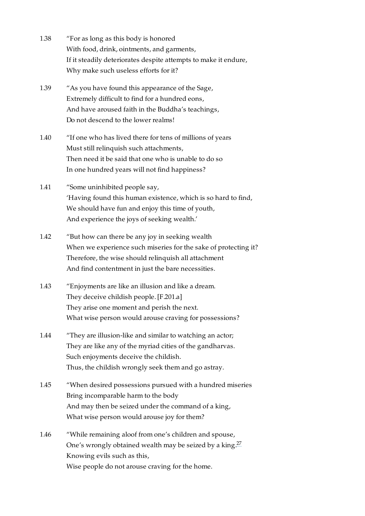- <span id="page-20-0"></span>"For as long as this body is honored With food, drink, ointments, and garments, If it steadily deteriorates despite attempts to make it endure, Why make such useless efforts for it? [1.38](#page-20-0)
- <span id="page-20-1"></span>"As you have found this appearance of the Sage, Extremely difficult to find for a hundred eons, And have aroused faith in the Buddha's teachings, Do not descend to the lower realms! [1.39](#page-20-1)
- <span id="page-20-2"></span>"If one who has lived there for tens of millions of years Must still relinquish such attachments, Then need it be said that one who is unable to do so In one hundred years will not find happiness? [1.40](#page-20-2)
- <span id="page-20-3"></span>"Some uninhibited people say, 'Having found this human existence, which is so hard to find, We should have fun and enjoy this time of youth, And experience the joys of seeking wealth.' [1.41](#page-20-3)
- <span id="page-20-4"></span>"But how can there be any joy in seeking wealth When we experience such miseries for the sake of protecting it? Therefore, the wise should relinquish all attachment And find contentment in just the bare necessities. [1.42](#page-20-4)
- <span id="page-20-5"></span>"Enjoyments are like an illusion and like a dream. They deceive childish people. [\[F.201.a\]](https://translator:gzungs@read.84000-translate.org/source/toh72.html?ref-index=15#ajax-source) They arise one moment and perish the next. What wise person would arouse craving for possessions? [1.43](#page-20-5)
- <span id="page-20-6"></span>"They are illusion-like and similar to watching an actor; They are like any of the myriad cities of the gandharvas. Such enjoyments deceive the childish. Thus, the childish wrongly seek them and go astray. [1.44](#page-20-6)
- <span id="page-20-7"></span>"When desired possessions pursued with a hundred miseries Bring incomparable harm to the body And may then be seized under the command of a king, What wise person would arouse joy for them? [1.45](#page-20-7)
- <span id="page-20-9"></span><span id="page-20-8"></span>"While remaining aloof from one's children and spouse, One's wrongly obtained wealth may be seized by a king.<sup>[27](#page-31-8)</sup> Knowing evils such as this, Wise people do not arouse craving for the home. [1.46](#page-20-8)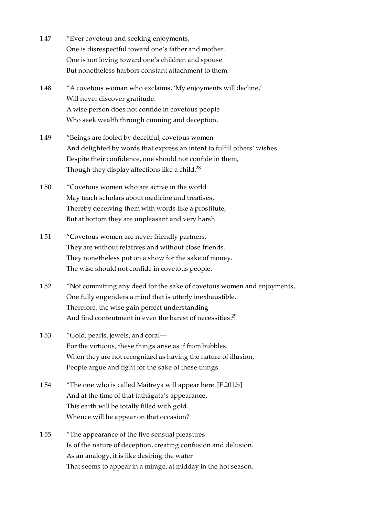- <span id="page-21-0"></span>"Ever covetous and seeking enjoyments, One is disrespectful toward one's father and mother. One is not loving toward one's children and spouse But nonetheless harbors constant attachment to them. [1.47](#page-21-0)
- <span id="page-21-1"></span>"A covetous woman who exclaims, 'My enjoyments will decline,' Will never discover gratitude. A wise person does not confide in covetous people Who seek wealth through cunning and deception. [1.48](#page-21-1)
- <span id="page-21-2"></span>"Beings are fooled by deceitful, covetous women And delighted by words that express an intent to fulfill others' wishes. Despite their confidence, one should not confide in them, Though they display affections like a child.<sup>[28](#page-32-0)</sup> [1.49](#page-21-2)
- <span id="page-21-9"></span><span id="page-21-3"></span>"Covetous women who are active in the world May teach scholars about medicine and treatises, Thereby deceiving them with words like a prostitute, But at bottom they are unpleasant and very harsh. [1.50](#page-21-3)
- <span id="page-21-4"></span>"Covetous women are never friendly partners. They are without relatives and without close friends. They nonetheless put on a show for the sake of money. The wise should not confide in covetous people. [1.51](#page-21-4)
- <span id="page-21-5"></span>"Not committing any deed for the sake of covetous women and enjoyments, One fully engenders a mind that is utterly inexhaustible. Therefore, the wise gain perfect understanding And find contentment in even the barest of necessities.<sup>[29](#page-32-1)</sup> [1.52](#page-21-5)
- <span id="page-21-10"></span><span id="page-21-6"></span>"Gold, pearls, jewels, and coral— For the virtuous, these things arise as if from bubbles. When they are not recognized as having the nature of illusion, People argue and fight for the sake of these things. [1.53](#page-21-6)
- <span id="page-21-7"></span>"The one who is called Maitreya will appear here. [\[F.201.b\]](https://translator:gzungs@read.84000-translate.org/source/toh72.html?ref-index=16#ajax-source) And at the time of that tathāgata's appearance, This earth will be totally filled with gold. Whence will he appear on that occasion? [1.54](#page-21-7)
- <span id="page-21-8"></span>"The appearance of the five sensual pleasures Is of the nature of deception, creating confusion and delusion. As an analogy, it is like desiring the water That seems to appear in a mirage, at midday in the hot season. [1.55](#page-21-8)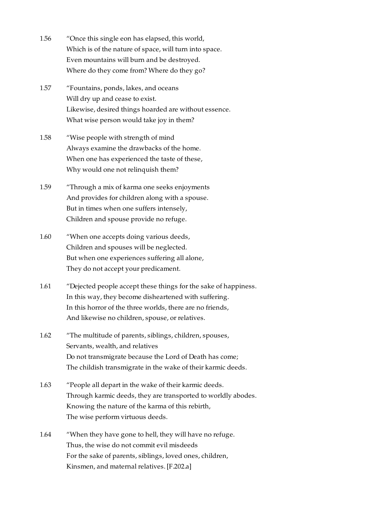- <span id="page-22-0"></span>"Once this single eon has elapsed, this world, Which is of the nature of space, will turn into space. Even mountains will burn and be destroyed. Where do they come from? Where do they go? [1.56](#page-22-0)
- <span id="page-22-1"></span>"Fountains, ponds, lakes, and oceans Will dry up and cease to exist. Likewise, desired things hoarded are without essence. What wise person would take joy in them? [1.57](#page-22-1)
- <span id="page-22-2"></span>"Wise people with strength of mind Always examine the drawbacks of the home. When one has experienced the taste of these, Why would one not relinquish them? [1.58](#page-22-2)
- <span id="page-22-3"></span>"Through a mix of karma one seeks enjoyments And provides for children along with a spouse. But in times when one suffers intensely, Children and spouse provide no refuge. [1.59](#page-22-3)
- <span id="page-22-4"></span>"When one accepts doing various deeds, Children and spouses will be neglected. But when one experiences suffering all alone, They do not accept your predicament. [1.60](#page-22-4)
- <span id="page-22-5"></span>"Dejected people accept these things for the sake of happiness. In this way, they become disheartened with suffering. In this horror of the three worlds, there are no friends, And likewise no children, spouse, or relatives. [1.61](#page-22-5)
- <span id="page-22-6"></span>"The multitude of parents, siblings, children, spouses, Servants, wealth, and relatives Do not transmigrate because the Lord of Death has come; The childish transmigrate in the wake of their karmic deeds. [1.62](#page-22-6)
- <span id="page-22-7"></span>"People all depart in the wake of their karmic deeds. Through karmic deeds, they are transported to worldly abodes. Knowing the nature of the karma of this rebirth, The wise perform virtuous deeds. [1.63](#page-22-7)
- <span id="page-22-8"></span>"When they have gone to hell, they will have no refuge. Thus, the wise do not commit evil misdeeds For the sake of parents, siblings, loved ones, children, Kinsmen, and maternal relatives. [\[F.202.a\]](https://translator:gzungs@read.84000-translate.org/source/toh72.html?ref-index=17#ajax-source) [1.64](#page-22-8)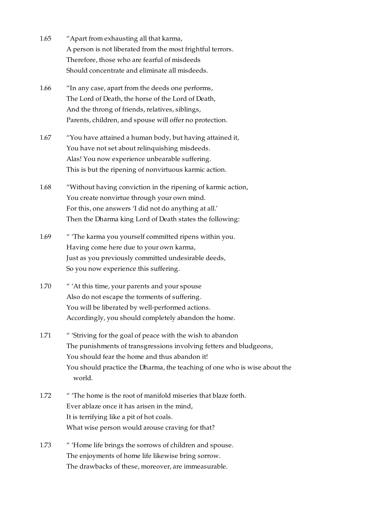<span id="page-23-0"></span>

| 1.65 | "Apart from exhausting all that karma,                     |
|------|------------------------------------------------------------|
|      | A person is not liberated from the most frightful terrors. |
|      | Therefore, those who are fearful of misdeeds               |
|      | Should concentrate and eliminate all misdeeds.             |

- <span id="page-23-1"></span>"In any case, apart from the deeds one performs, The Lord of Death, the horse of the Lord of Death, And the throng of friends, relatives, siblings, Parents, children, and spouse will offer no protection. [1.66](#page-23-1)
- <span id="page-23-2"></span>"You have attained a human body, but having attained it, You have not set about relinquishing misdeeds. Alas! You now experience unbearable suffering. This is but the ripening of nonvirtuous karmic action. [1.67](#page-23-2)
- <span id="page-23-3"></span>"Without having conviction in the ripening of karmic action, You create nonvirtue through your own mind. For this, one answers 'I did not do anything at all.' Then the Dharma king Lord of Death states the following: [1.68](#page-23-3)
- <span id="page-23-4"></span>" 'The karma you yourself committed ripens within you. Having come here due to your own karma, Just as you previously committed undesirable deeds, So you now experience this suffering. [1.69](#page-23-4)
- <span id="page-23-5"></span>" 'At this time, your parents and your spouse Also do not escape the torments of suffering. You will be liberated by well-performed actions. Accordingly, you should completely abandon the home. [1.70](#page-23-5)
- <span id="page-23-6"></span>" 'Striving for the goal of peace with the wish to abandon The punishments of transgressions involving fetters and bludgeons, You should fear the home and thus abandon it! You should practice the Dharma, the teaching of one who is wise about the world. [1.71](#page-23-6)
- <span id="page-23-7"></span>" 'The home is the root of manifold miseries that blaze forth. Ever ablaze once it has arisen in the mind, It is terrifying like a pit of hot coals. What wise person would arouse craving for that? [1.72](#page-23-7)
- <span id="page-23-8"></span>" 'Home life brings the sorrows of children and spouse. The enjoyments of home life likewise bring sorrow. The drawbacks of these, moreover, are immeasurable. [1.73](#page-23-8)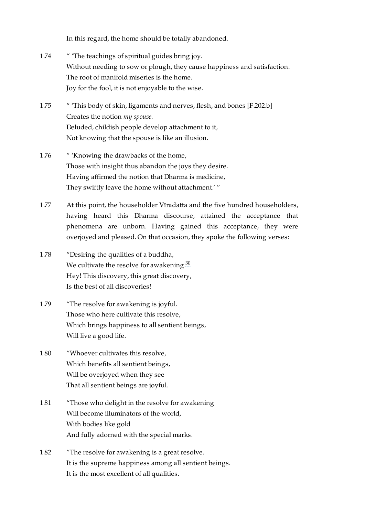In this regard, the home should be totally abandoned.

- <span id="page-24-0"></span>" 'The teachings of spiritual guides bring joy. Without needing to sow or plough, they cause happiness and satisfaction. The root of manifold miseries is the home. Joy for the fool, it is not enjoyable to the wise. [1.74](#page-24-0)
- <span id="page-24-1"></span>" 'This body of skin, ligaments and nerves, flesh, and bones [\[F.202.b\]](https://translator:gzungs@read.84000-translate.org/source/toh72.html?ref-index=18#ajax-source) Creates the notion *my spouse*. Deluded, childish people develop attachment to it, Not knowing that the spouse is like an illusion. [1.75](#page-24-1)
- <span id="page-24-2"></span>" 'Knowing the drawbacks of the home, Those with insight thus abandon the joys they desire. Having affirmed the notion that Dharma is medicine, They swiftly leave the home without attachment.' " [1.76](#page-24-2)
- <span id="page-24-3"></span>At this point, the householder Vīradatta and the five hundred householders, having heard this Dharma discourse, attained the acceptance that phenomena are unborn. Having gained this acceptance, they were overjoyed and pleased. On that occasion, they spoke the following verses: [1.77](#page-24-3)
- <span id="page-24-9"></span><span id="page-24-4"></span>"Desiring the qualities of a buddha, We cultivate the resolve for awakening.<sup>[30](#page-32-2)</sup> Hey! This discovery, this great discovery, Is the best of all discoveries! [1.78](#page-24-4)
- <span id="page-24-5"></span>"The resolve for awakening is joyful. Those who here cultivate this resolve, Which brings happiness to all sentient beings, Will live a good life. [1.79](#page-24-5)
- <span id="page-24-6"></span>"Whoever cultivates this resolve, Which benefits all sentient beings, Will be overjoyed when they see That all sentient beings are joyful. [1.80](#page-24-6)
- <span id="page-24-7"></span>"Those who delight in the resolve for awakening Will become illuminators of the world, With bodies like gold And fully adorned with the special marks. [1.81](#page-24-7)
- <span id="page-24-8"></span>"The resolve for awakening is a great resolve. It is the supreme happiness among all sentient beings. It is the most excellent of all qualities. [1.82](#page-24-8)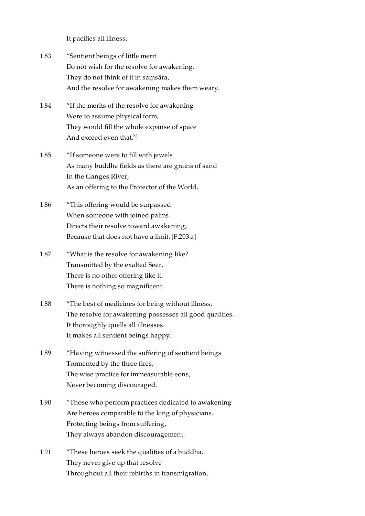It pacifies all illness.

- <span id="page-25-0"></span>"Sentient beings of little merit Do not wish for the resolve for awakening. They do not think of it in saṃsāra, And the resolve for awakening makes them weary. [1.83](#page-25-0)
- <span id="page-25-1"></span>"If the merits of the resolve for awakening Were to assume physical form, They would fill the whole expanse of space And exceed even that.<sup>[31](#page-32-3)</sup> [1.84](#page-25-1)
- <span id="page-25-9"></span><span id="page-25-2"></span>"If someone were to fill with jewels As many buddha fields as there are grains of sand In the Ganges River, As an offering to the Protector of the World, [1.85](#page-25-2)
- <span id="page-25-3"></span>"This offering would be surpassed When someone with joined palms Directs their resolve toward awakening, Because that does not have a limit. [\[F.203.a\]](https://translator:gzungs@read.84000-translate.org/source/toh72.html?ref-index=19#ajax-source) [1.86](#page-25-3)
- <span id="page-25-4"></span>"What is the resolve for awakening like? Transmitted by the exalted Seer, There is no other offering like it. There is nothing so magnificent. [1.87](#page-25-4)
- <span id="page-25-5"></span>"The best of medicines for being without illness, The resolve for awakening possesses all good qualities. It thoroughly quells all illnesses. It makes all sentient beings happy. [1.88](#page-25-5)
- <span id="page-25-6"></span>"Having witnessed the suffering of sentient beings Tormented by the three fires, The wise practice for immeasurable eons, Never becoming discouraged. [1.89](#page-25-6)
- <span id="page-25-7"></span>"Those who perform practices dedicated to awakening Are heroes comparable to the king of physicians. Protecting beings from suffering, They always abandon discouragement. [1.90](#page-25-7)
- <span id="page-25-8"></span>"These heroes seek the qualities of a buddha. They never give up that resolve Throughout all their rebirths in transmigration, [1.91](#page-25-8)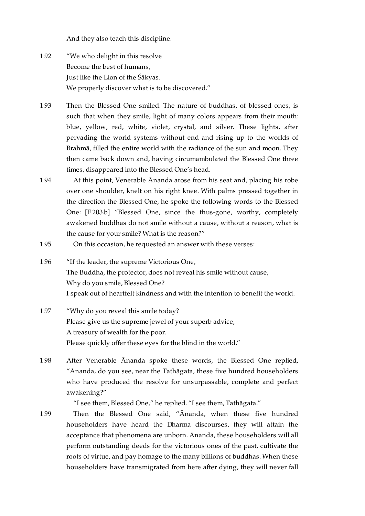And they also teach this discipline.

- <span id="page-26-0"></span>"We who delight in this resolve Become the best of humans, Just like the Lion of the Śākyas. We properly discover what is to be discovered." [1.92](#page-26-0)
- <span id="page-26-1"></span>Then the Blessed One smiled. The nature of buddhas, of blessed ones, is such that when they smile, light of many colors appears from their mouth: blue, yellow, red, white, violet, crystal, and silver. These lights, after pervading the world systems without end and rising up to the worlds of Brahmā, filled the entire world with the radiance of the sun and moon. They then came back down and, having circumambulated the Blessed One three times, disappeared into the Blessed One's head. [1.93](#page-26-1)
- <span id="page-26-2"></span>At this point, Venerable Ānanda arose from his seat and, placing his robe over one shoulder, knelt on his right knee. With palms pressed together in the direction the Blessed One, he spoke the following words to the Blessed One: [\[F.203.b\]](https://translator:gzungs@read.84000-translate.org/source/toh72.html?ref-index=20#ajax-source) "Blessed One, since the thus-gone, worthy, completely awakened buddhas do not smile without a cause, without a reason, what is the cause for your smile? What is the reason?" [1.94](#page-26-2)
- <span id="page-26-3"></span>On this occasion, he requested an answer with these verses: [1.95](#page-26-3)
- <span id="page-26-4"></span>"If the leader, the supreme Victorious One, The Buddha, the protector, does not reveal his smile without cause, Why do you smile, Blessed One? I speak out of heartfelt kindness and with the intention to benefit the world. [1.96](#page-26-4)
- <span id="page-26-5"></span>"Why do you reveal this smile today? Please give us the supreme jewel of your superb advice, A treasury of wealth for the poor. Please quickly offer these eyes for the blind in the world." [1.97](#page-26-5)
- <span id="page-26-6"></span>After Venerable Ānanda spoke these words, the Blessed One replied, "Ānanda, do you see, near the Tathāgata, these five hundred householders who have produced the resolve for unsurpassable, complete and perfect awakening?" [1.98](#page-26-6)

"I see them, Blessed One," he replied. "I see them, Tathāgata."

<span id="page-26-7"></span>Then the Blessed One said, "Ānanda, when these five hundred householders have heard the Dharma discourses, they will attain the acceptance that phenomena are unborn. Ānanda, these householders will all perform outstanding deeds for the victorious ones of the past, cultivate the roots of virtue, and pay homage to the many billions of buddhas. When these householders have transmigrated from here after dying, they will never fall [1.99](#page-26-7)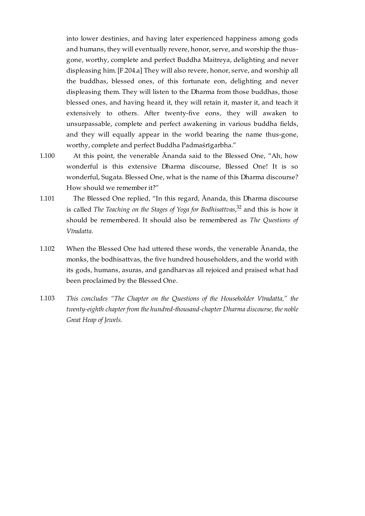into lower destinies, and having later experienced happiness among gods and humans, they will eventually revere, honor, serve, and worship the thusgone, worthy, complete and perfect Buddha Maitreya, delighting and never displeasing him. [\[F.204.a\]](https://translator:gzungs@read.84000-translate.org/source/toh72.html?ref-index=21#ajax-source) They will also revere, honor, serve, and worship all the buddhas, blessed ones, of this fortunate eon, delighting and never displeasing them. They will listen to the Dharma from those buddhas, those blessed ones, and having heard it, they will retain it, master it, and teach it extensively to others. After twenty-five eons, they will awaken to unsurpassable, complete and perfect awakening in various buddha fields, and they will equally appear in the world bearing the name thus-gone, worthy, complete and perfect Buddha Padmaśrīgarbha."

- <span id="page-27-0"></span>At this point, the venerable Ānanda said to the Blessed One, "Ah, how wonderful is this extensive Dharma discourse, Blessed One! It is so wonderful, Sugata. Blessed One, what is the name of this Dharma discourse? How should we remember it?" [1.100](#page-27-0)
- <span id="page-27-4"></span><span id="page-27-1"></span>The Blessed One replied, "In this regard, Ānanda, this Dharma discourse is called *The Teaching on the Stages of Yoga for Bodhisattvas,<sup>[32](#page-32-4)</sup> and this is how it* should be remembered. It should also be remembered as *The Questions of Vīradatta*. [1.101](#page-27-1)
- <span id="page-27-2"></span>When the Blessed One had uttered these words, the venerable Ānanda, the monks, the bodhisattvas, the five hundred householders, and the world with its gods, humans, asuras, and gandharvas all rejoiced and praised what had been proclaimed by the Blessed One. [1.102](#page-27-2)
- <span id="page-27-3"></span>*This concludes "The Chapter on the Questions of the Householder Vīradatta," the twenty-eighth chapter from the hundred-thousand-chapter Dharma discourse, the noble Great Heap of Jewels.* [1.103](#page-27-3)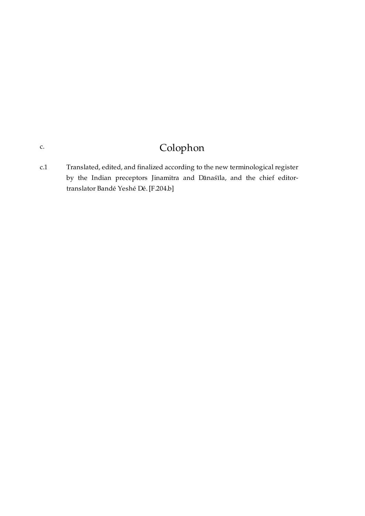# Colophon

<span id="page-28-1"></span><span id="page-28-0"></span>Translated, edited, and finalized according to the new terminological register by the Indian preceptors Jinamitra and Dānaśīla, and the chief editortranslator Bandé Yeshé Dé. [\[F.204.b\]](https://translator:gzungs@read.84000-translate.org/source/toh72.html?ref-index=22#ajax-source) [c.1](#page-28-1)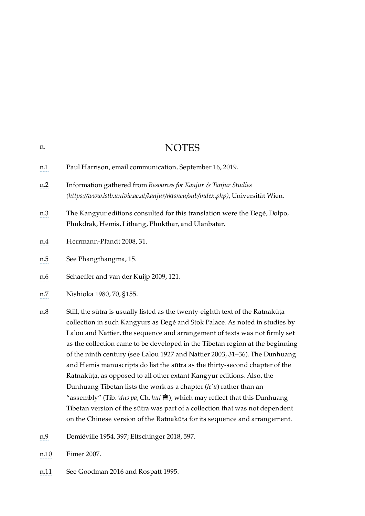<span id="page-29-6"></span><span id="page-29-5"></span><span id="page-29-4"></span><span id="page-29-3"></span><span id="page-29-2"></span><span id="page-29-1"></span><span id="page-29-0"></span>

| n.  | <b>NOTES</b>                                                                                                                                                                                                                                                                                                                                                                                                                                                                                                                                                                                                                                                                                                                                                                                              |
|-----|-----------------------------------------------------------------------------------------------------------------------------------------------------------------------------------------------------------------------------------------------------------------------------------------------------------------------------------------------------------------------------------------------------------------------------------------------------------------------------------------------------------------------------------------------------------------------------------------------------------------------------------------------------------------------------------------------------------------------------------------------------------------------------------------------------------|
| n.1 | Paul Harrison, email communication, September 16, 2019.                                                                                                                                                                                                                                                                                                                                                                                                                                                                                                                                                                                                                                                                                                                                                   |
| n.2 | Information gathered from Resources for Kanjur & Tanjur Studies<br>(https://www.istb.univie.ac.at/kanjur/rktsneu/sub/index.php), Universität Wien.                                                                                                                                                                                                                                                                                                                                                                                                                                                                                                                                                                                                                                                        |
| n.3 | The Kangyur editions consulted for this translation were the Degé, Dolpo,<br>Phukdrak, Hemis, Lithang, Phukthar, and Ulanbatar.                                                                                                                                                                                                                                                                                                                                                                                                                                                                                                                                                                                                                                                                           |
| n.4 | Herrmann-Pfandt 2008, 31.                                                                                                                                                                                                                                                                                                                                                                                                                                                                                                                                                                                                                                                                                                                                                                                 |
| n.5 | See Phangthangma, 15.                                                                                                                                                                                                                                                                                                                                                                                                                                                                                                                                                                                                                                                                                                                                                                                     |
| n.6 | Schaeffer and van der Kuijp 2009, 121.                                                                                                                                                                                                                                                                                                                                                                                                                                                                                                                                                                                                                                                                                                                                                                    |
| n.7 | Nishioka 1980, 70, §155.                                                                                                                                                                                                                                                                                                                                                                                                                                                                                                                                                                                                                                                                                                                                                                                  |
| n.8 | Still, the sūtra is usually listed as the twenty-eighth text of the Ratnakūța<br>collection in such Kangyurs as Degé and Stok Palace. As noted in studies by<br>Lalou and Nattier, the sequence and arrangement of texts was not firmly set<br>as the collection came to be developed in the Tibetan region at the beginning<br>of the ninth century (see Lalou 1927 and Nattier 2003, 31-36). The Dunhuang<br>and Hemis manuscripts do list the sūtra as the thirty-second chapter of the<br>Ratnakūța, as opposed to all other extant Kangyur editions. Also, the<br>Dunhuang Tibetan lists the work as a chapter $(le'u)$ rather than an<br>"assembly" (Tib. 'dus pa, Ch. hui 會), which may reflect that this Dunhuang<br>Tibetan version of the sūtra was part of a collection that was not dependent |

<span id="page-29-8"></span><span id="page-29-7"></span>on the Chinese version of the Ratnakūṭa for its sequence and arrangement.

- <span id="page-29-9"></span>[n.9](#page-8-9) Demiéville 1954, 397; Eltschinger 2018, 597.
- <span id="page-29-10"></span>[n.10](#page-8-10) Eimer 2007.
- <span id="page-29-11"></span>[n.11](#page-9-0) See Goodman 2016 and Rospatt 1995.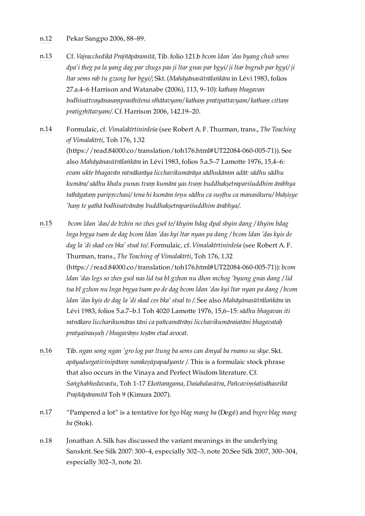#### <span id="page-30-0"></span>[n.12](#page-9-1) Pekar Sangpo 2006, 88–89.

- <span id="page-30-1"></span>[n.13](#page-13-8) Cf. *Vajracchedikā Prajñāpāramitā*, Tib. folio 121.b *bcom ldan 'das byang chub sems* dpa'i theg pa la yang dag par zhugs pas ji ltar gnas par bgyi/ ji ltar bsgrub par bgyi/ ji *ltar sems rab tu gzung bar bgyi/*; Skt. (*Mahāyānasūtrālaṅkāra* in Lévi 1983, folios 27.a.4–6 Harrison and Watanabe (2006), 113, 9–10): *kathaṃ bhagavan bodhisattvayānasaṃprasthitena sthātavyam/ kathaṃ pratipattavyam/ kathaṃ cittaṃ pratigṛhītavyam/*. Cf. Harrison 2006, 142.19–20.
- <span id="page-30-2"></span>[n.14](#page-13-9) Formulaic, cf. *Vimalakīrtinirdeśa* (see Robert A. F. Thurman, trans., *The Teaching of Vimalakīrti*, Toh 176, 1.32 [\(https://read.84000.co/translation/toh176.html#UT22084-060-005-71\)](https://read.84000.co/translation/toh176.html#UT22084-060-005-71)). See also *Mahāyānasūtrālaṅkāra* in Lévi 1983, folios 5.a.5–7 Lamotte 1976, 15,4–6: *evam ukte bhagavān ratnākarāya licchavikumārāya sādhukāram adāt: sādhu sādhu kumāra/ sādhu khalu punas tvaṃ kumāra yas tvaṃ buddhakṣetrapariśuddhim ārabhya tathāgataṃ paripṛcchasi/ tena hi kumāra śrṇu sādhu ca suṣṭhu ca manasikuru/ bhāṣiṣye 'haṃ te yathā bodhisatvānāṃ buddhakṣetrapariśuddhim ārabhya/*.
- <span id="page-30-3"></span>[n.15](#page-13-10) *bcom ldan 'das/ de bzhin no zhes gsol te/ khyim bdag dpal sbyin dang / khyim bdag lnga brgya tsam de dag bcom ldan 'das kyi ltar nyan pa dang / bcom ldan 'das kyis de dag la 'di skad ces bka' stsal to/*. Formulaic, cf. *Vimalakīrtinirdeśa* (see Robert A. F. Thurman, trans., *The Teaching of Vimalakīrti*, Toh 176, 1.32 [\(https://read.84000.co/translation/toh176.html#UT22084-060-005-71\)](https://read.84000.co/translation/toh176.html#UT22084-060-005-71)): *bcom ldan 'das legs so zhes gsol nas lid tsa bI gzhon nu dkon mchog 'byung gnas dang / lid* tsa bI gzhon nu lnga brgya tsam po de dag bcom ldan 'das kyi ltar nyan pa dang / bcom *ldan 'das kyis de dag la 'di skad ces bka' stsal to /*. See also *Mahāyānasūtrālaṅkāra* in Lévi 1983, folios 5.a.7–b.1 Toh 4020 Lamotte 1976, 15,6–15:*sādhu bhagavan iti ratnākaro liccharikumāras tāni ca pañcamātrāṇi licchavikumāraśatāni bhagavataḥ pratyaśrauṣuḥ / bhagavāṃs teṣām etad avocat*.
- <span id="page-30-4"></span>[n.16](#page-13-11) Tib. *ngan song ngan 'gro log par ltung ba sems can dmyal ba rnams su skye*. Skt. *apāyadurgativinipātaṃ narakeṣūpapadyante /*. This is a formulaic stock phrase that also occurs in the Vinaya and Perfect Wisdom literature. Cf. *Saṅghabhedavastu*, Toh 1-17 *Ekottaragama*, *Daśabalasūtra*, *Pañcaviṃśatisāhasrikā Prajñāpāramitā* Toh 9 (Kimura 2007).
- <span id="page-30-5"></span>[n.17](#page-15-3) "Pampered a lot" is a tentative for *bgo blag mang ba* (Degé) and *bsgro blag mang ba* (Stok).
- <span id="page-30-6"></span>[n.18](#page-15-4) Jonathan A. Silk has discussed the variant meanings in the underlying Sanskrit. See Silk 2007: 300–4, especially 302–3, note 20.See Silk 2007, 300–304, especially 302–3, note 20.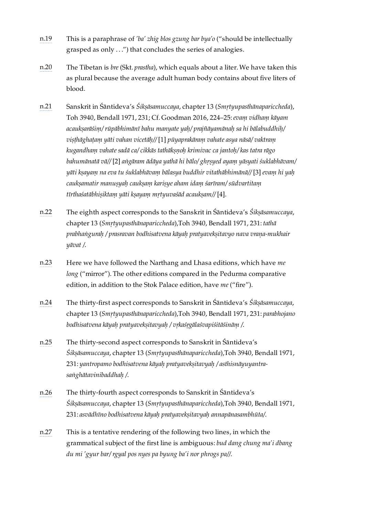- <span id="page-31-0"></span>[n.19](#page-15-5) This is a paraphrase of *'ba' zhig blos gzung bar bya'o* ("should be intellectually grasped as only . . .") that concludes the series of analogies.
- <span id="page-31-1"></span>[n.20](#page-16-4) The Tibetan is *bre* (Skt. *prastha*), which equals about a liter. We have taken this as plural because the average adult human body contains about five liters of blood.
- <span id="page-31-2"></span>[n.21](#page-17-3) Sanskrit in Śāntideva's *Śikṣāsamuccaya*, chapter 13 (*Smṛtyupasthānapariccheda*), Toh 3940, Bendall 1971, 231; Cf. Goodman 2016, 224–25:*evaṃ vidhaṃ kāyam acaukṣarāśiṃ/ rūpābhimānī bahu manyate yaḥ/ prajñāyamānaḥ sa hi bālabuddhiḥ/ viṣṭhāghaṭaṃ yāti vahan vicetāḥ//* [1] *pūyaprakāraṃ vahate asya nāsā/ vaktraṃ kugandhaṃ vahate sadā ca/ cikkās tathākṣṇoḥ krimivac ca jantoḥ/ kas tatra rāgo bahumānatā vā//* [2] *aṅgāram ādāya yathā hi bālo/ ghṛṣyed ayaṃ yāsyati śuklabhāvam/ yāti kṣayaṃ na eva tu śuklabhāvaṃ bālasya buddhir vitathābhimānā//* [3] *evaṃ hi yaḥ caukṣamatir manuṣyaḥ caukṣaṃ kariṣye aham idaṃ śarīram/ sūdvartitaṃ tīrthaśatābhiṣiktaṃ yāti kṣayaṃ mṛtyuvaśād acaukṣam//* [4].
- <span id="page-31-3"></span>[n.22](#page-17-4) The eighth aspect corresponds to the Sanskrit in Śāntideva's *Śikṣāsamuccaya*, chapter 13 (*Smṛtyupasthānapariccheda*),Toh 3940, Bendall 1971, 231: *tathā prabhaṅguraḥ / prasravan bodhisatvena kāyaḥ pratyavekṣitavyo nava vraṇa-mukhair yāvat /*.
- <span id="page-31-4"></span>[n.23](#page-18-0) Here we have followed the Narthang and Lhasa editions, which have *me long* ("mirror"). The other editions compared in the Pedurma comparative edition, in addition to the Stok Palace edition, have *me* ("fire").
- <span id="page-31-5"></span>[n.24](#page-18-1) The thirty-first aspect corresponds to Sanskrit in Śāntideva's *Śikṣāsamuccaya*, chapter 13 (*Smṛtyupasthānapariccheda*),Toh 3940, Bendall 1971, 231: *parabhojano bodhisatvena kāyaḥ pratyavekṣitavyaḥ / vṛkaśṛgālaśvapiśitāśināṃ /*.
- <span id="page-31-6"></span>[n.25](#page-18-2) The thirty-second aspect corresponds to Sanskrit in Śāntideva's *Śikṣāsamuccaya*, chapter 13 (*Smṛtyupasthānapariccheda*),Toh 3940, Bendall 1971, 231: *yantropamo bodhisatvena kāyaḥ pratyavekṣitavyaḥ / asthisnāyuyantrasaṅghātavinibaddhaḥ /*.
- <span id="page-31-7"></span>[n.26](#page-18-3) The thirty-fourth aspect corresponds to Sanskrit in Śāntideva's *Śikṣāsamuccaya*, chapter 13 (*Smṛtyupasthānapariccheda*),Toh 3940, Bendall 1971, 231: *asvādhīno bodhisatvena kāyaḥ pratyavekṣitavyaḥ annapānasambhūta/*.
- <span id="page-31-8"></span>[n.27](#page-20-9) This is a tentative rendering of the following two lines, in which the grammatical subject of the first line is ambiguous: *bud dang chung ma'i dbang du mi 'gyur bar/ rgyal pos nyes pa byung ba'i nor phrogs pa//*.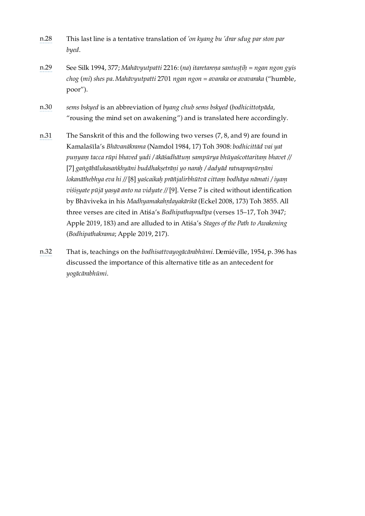- <span id="page-32-0"></span>[n.28](#page-21-9) This last line is a tentative translation of *'on kyang bu 'drar sdug par ston par byed*.
- <span id="page-32-1"></span>[n.29](#page-21-10) See Silk 1994, 377; *Mahāvyutpatti* 2216: (*na*) *itaretareṇa santuṣṭiḥ* = *ngan ngon gyis chog* (*mi*) *shes pa*. *Mahāvyutpatti* 2701 *ngan ngon* = *avaraka* or *avavaraka* ("humble, poor").
- <span id="page-32-2"></span>[n.30](#page-24-9) *sems bskyed* is an abbreviation of *byang chub sems bskyed* (*bodhicittotpāda*, "rousing the mind set on awakening") and is translated here accordingly.
- <span id="page-32-3"></span>[n.31](#page-25-9) The Sanskrit of this and the following two verses (7, 8, and 9) are found in Kamalaśīla's *Bhāvanākrama* (Namdol 1984, 17) Toh 3908: *bodhicittād vai yat puṇyaṃ tacca rūpi bhaved yadi / ākāśadhātuṃ sampūrya bhūyaścottaritaṃ bhavet //* [7] *gaṅgābālukasaṅkhyāni buddhakṣetrāṇi yo naraḥ / dadyād ratnaprapūrṇāni lokanāthebhya eva hi //* [8] *yaścaikaḥ prāñjalirbhūtvā cittaṃ bodhāya nāmati / iyaṃ viśiṣyate pūjā yasyā anto na vidyate //* [9]. Verse 7 is cited without identification by Bhāviveka in his *Madhyamakahṛdayakārikā* (Eckel 2008, 173) Toh 3855. All three verses are cited in Atiśa's *Bodhipathapradīpa* (verses 15–17, Toh 3947; Apple 2019, 183) and are alluded to in Atiśa's *Stages of the Path to Awakening* (*Bodhipathakrama*; Apple 2019, 217).
- <span id="page-32-4"></span>[n.32](#page-27-4) That is, teachings on the *bodhisattvayogācārabhūmi*. Demiéville, 1954, p. 396 has discussed the importance of this alternative title as an antecedent for *yogācārabhūmi*.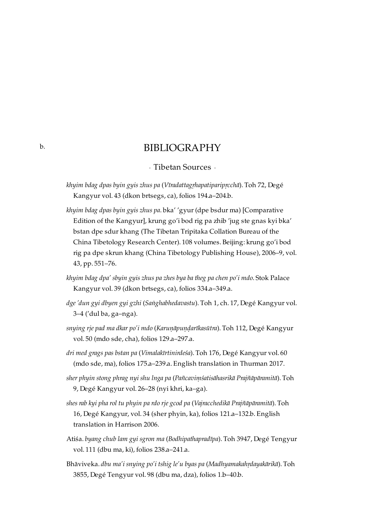## BIBLIOGRAPHY

### · Tibetan Sources ·

- *khyim bdag dpas byin gyis zhus pa* (*Vīradattagṛhapatiparipṛcchā*). Toh 72, Degé Kangyur vol. 43 (dkon brtsegs, ca), folios 194.a–204.b.
- *khyim bdag dpas byin gyis zhus pa*. bka' 'gyur (dpe bsdur ma) [Comparative Edition of the Kangyur], krung go'i bod rig pa zhib 'jug ste gnas kyi bka' bstan dpe sdur khang (The Tibetan Tripitaka Collation Bureau of the China Tibetology Research Center). 108 volumes. Beijing: krung go'i bod rig pa dpe skrun khang (China Tibetology Publishing House), 2006–9, vol. 43, pp. 551–76.
- *khyim bdag dpa' sbyin gyis zhus pa zhes bya ba theg pa chen po'i mdo*. Stok Palace Kangyur vol. 39 (dkon brtsegs, ca), folios 334.a–349.a.
- *dge 'dun gyi dbyen gyi gzhi* (*Saṅghabhedavastu*). Toh 1, ch. 17, Degé Kangyur vol. 3–4 ('dul ba, ga–nga).
- *snying rje pad ma dkar po'i mdo* (*Karuṇāpuṇḍarīkasūtra*). Toh 112, Degé Kangyur vol. 50 (mdo sde, cha), folios 129.a–297.a.
- *dri med grags pas bstan pa* (*Vimalakīrtinirdeśa*). Toh 176, Degé Kangyur vol. 60 (mdo sde, ma), folios 175.a–239.a. English translation in Thurman 2017.
- *sher phyin stong phrag nyi shu lnga pa* (*Pañcaviṃśatisāhasrikā Prajñāpāramitā*). Toh 9, Degé Kangyur vol. 26–28 (nyi khri, ka–ga).
- *shes rab kyi pha rol tu phyin pa rdo rje gcod pa* (*Vajracchedikā Prajñāpāramitā*). Toh 16, Degé Kangyur, vol. 34 (sher phyin, ka), folios 121.a–132.b. English translation in Harrison 2006.
- Atiśa. *byang chub lam gyi sgron ma* (*Bodhipathapradīpa*). Toh 3947, Degé Tengyur vol. 111 (dbu ma, ki), folios 238.a–241.a.
- Bhāviveka. *dbu ma'i snying po'i tshig le'u byas pa* (*Madhyamakahṛdayakārikā*). Toh 3855, Degé Tengyur vol. 98 (dbu ma, dza), folios 1.b–40.b.

<span id="page-33-1"></span><span id="page-33-0"></span>[b.](#page-33-0)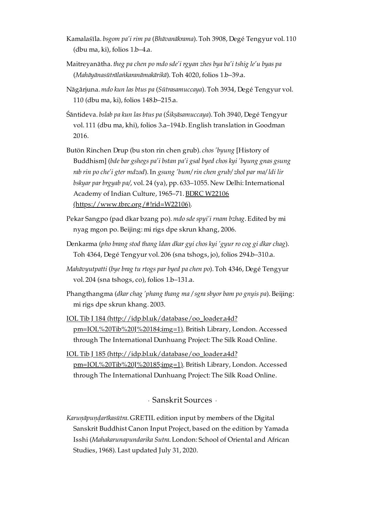- Kamalaśīla. *bsgom pa'i rim pa* (*Bhāvanākrama*). Toh 3908, Degé Tengyur vol. 110 (dbu ma, ki), folios 1.b–4.a.
- Maitreyanātha. *theg pa chen po mdo sde'i rgyan zhes bya ba'i tshig le'u byas pa* (*Mahāyānasūtrālaṅkaranāmakārikā*). Toh 4020, folios 1.b–39.a.
- Nāgārjuna. *mdo kun las btus pa* (*Sūtrasamuccaya*). Toh 3934, Degé Tengyur vol. 110 (dbu ma, ki), folios 148.b–215.a.
- Śāntideva. *bslab pa kun las btus pa* (*Śikṣāsamuccaya*). Toh 3940, Degé Tengyur vol. 111 (dbu ma, khi), folios 3.a–194.b. English translation in Goodman 2016.
- Butön Rinchen Drup (bu ston rin chen grub). *chos 'byung* [History of Buddhism] (*bde bar gshegs pa'i bstan pa'i gsal byed chos kyi 'byung gnas gsung rab rin po che'i gter mdzod*). In *gsung 'bum/ rin chen grub/ zhol par ma/ ldi lir bskyar par brgyab pa/*, vol. 24 (ya), pp. 633–1055. New Delhi: International Academy of Indian Culture, 1965–71. BDRC W22106  $(<https://www.tbrc.org/#!rid=W22106>).$
- Pekar Sangpo (pad dkar bzang po). *mdo sde spyi'i rnam bzhag*. Edited by mi nyag mgon po. Beijing: mi rigs dpe skrun khang, 2006.
- Denkarma (*pho brang stod thang ldan dkar gyi chos kyi 'gyur ro cog gi dkar chag*). Toh 4364, Degé Tengyur vol. 206 (sna tshogs, jo), folios 294.b–310.a.
- *Mahāvyutpatti* (*bye brag tu rtogs par byed pa chen po*). Toh 4346, Degé Tengyur vol. 204 (sna tshogs, co), folios 1.b–131.a.
- Phangthangma (*dkar chag 'phang thang ma / sgra sbyor bam po gnyis pa*). Beijing: mi rigs dpe skrun khang. 2003.
- IOL Tib J 184 [\(http://idp.bl.uk/database/oo\\_loader.a4d?](http://idp.bl.uk/database/oo_loader.a4d?pm=IOL%20Tib%20J%20184;img=1) pm=IOL%20Tib%20J%20184;img=1). British Library, London. Accessed through The International Dunhuang Project: The Silk Road Online.
- IOL Tib J 185 [\(http://idp.bl.uk/database/oo\\_loader.a4d?](http://idp.bl.uk/database/oo_loader.a4d?pm=IOL%20Tib%20J%20185;img=1) pm=IOL%20Tib%20J%20185;img=1). British Library, London. Accessed through The International Dunhuang Project: The Silk Road Online.

· Sanskrit Sources ·

<span id="page-34-0"></span>*Karuṇāpuṇḍarīkasūtra*. GRETIL edition input by members of the Digital Sanskrit Buddhist Canon Input Project, based on the edition by Yamada Isshi (*Mahakarunapundarika Sutra*. London: School of Oriental and African Studies, 1968). Last updated July 31, 2020.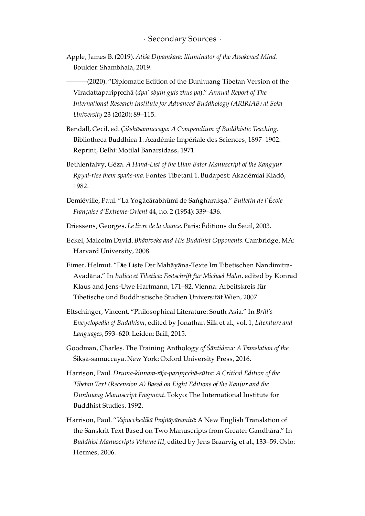<span id="page-35-0"></span>Apple, James B. (2019). *Atiśa Dīpaṃkara: Illuminator of the Awakened Mind*. Boulder: Shambhala, 2019.

-(2020). "Diplomatic Edition of the Dunhuang Tibetan Version of the Vīradattaparipṛcchā (*dpa' sbyin gyis zhus pa*)." *Annual Report of The International Research Institute for Advanced Buddhology (ARIRIAB) at Soka University* 23 (2020): 89–115.

- Bendall, Cecil, ed. *Çikshāsamuccaya: A Compendium of Buddhistic Teaching*. Bibliotheca Buddhica 1. Académie Impériale des Sciences, 1897–1902. Reprint, Delhi: Motilal Banarsidass, 1971.
- Bethlenfalvy, Géza. *A Hand-List of the Ulan Bator Manuscript of the Kangyur Rgyal-rtse them spaṅs-ma*. Fontes Tibetani 1. Budapest: Akadémiai Kiadó, 1982.
- Demiéville, Paul. "La Yogācārabhūmi de Saṅgharakṣa." *Bulletin de l'École Française d'Êxtreme-Orient* 44, no. 2 (1954): 339–436.
- Driessens, Georges. *Le livre de la chance*. Paris: Éditions du Seuil, 2003.
- Eckel, Malcolm David. *Bhāviveka and His Buddhist Opponents*. Cambridge, MA: Harvard University, 2008.
- Eimer, Helmut. "Die Liste Der Mahāyāna-Texte Im Tibetischen Nandimitra-Avadāna." In *Indica et Tibetica: Festschrift für Michael Hahn*, edited by Konrad Klaus and Jens-Uwe Hartmann, 171–82. Vienna: Arbeitskreis für Tibetische und Buddhistische Studien Universität Wien, 2007.
- Eltschinger, Vincent. "Philosophical Literature: South Asia." In *Brill's Encyclopedia of Buddhism*, edited by Jonathan Silk et al., vol. 1, *Literature and Languages*, 593–620. Leiden: Brill, 2015.
- Goodman, Charles. The Training Anthology *of Śāntideva: A Translation of the* Śikṣā-samuccaya. New York: Oxford University Press, 2016.
- Harrison, Paul. *Druma-kinnara-rāja-paripṛcchā-sūtra: A Critical Edition of the Tibetan Text (Recension A) Based on Eight Editions of the Kanjur and the Dunhuang Manuscript Fragment*. Tokyo: The International Institute for Buddhist Studies, 1992.
- Harrison, Paul. "*Vajracchedikā Prajñāpāramitā*: A New English Translation of the Sanskrit Text Based on Two Manuscripts from Greater Gandhāra." In *Buddhist Manuscripts Volume III*, edited by Jens Braarvig et al., 133–59. Oslo: Hermes, 2006.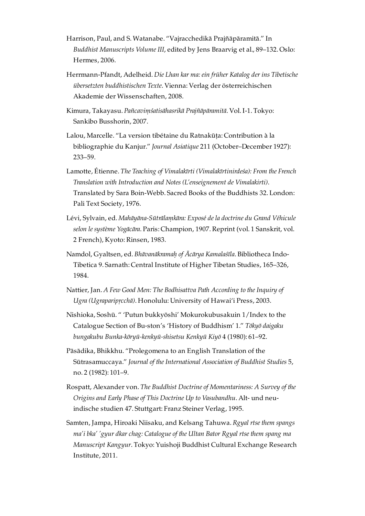- Harrison, Paul, and S. Watanabe. "Vajracchedikā Prajñāpāramitā." In *Buddhist Manuscripts Volume III*, edited by Jens Braarvig et al., 89–132. Oslo: Hermes, 2006.
- Herrmann-Pfandt, Adelheid. *Die Lhan kar ma: ein früher Katalog der ins Tibetische übersetzten buddhistischen Texte*. Vienna: Verlag der österreichischen Akademie der Wissenschaften, 2008.
- Kimura, Takayasu. *Pañcaviṃśatisāhasrikā Prajñāpāramitā*. Vol. I-1. Tokyo: Sankibo Busshorin, 2007.
- Lalou, Marcelle. "La version tibétaine du Ratnakūṭa: Contribution à la bibliographie du Kanjur." *Journal Asiatique* 211 (October–December 1927): 233–59.
- Lamotte, Étienne. *The Teaching of Vimalakīrti (Vimalakīrtinirdeśa): From the French Translation with Introduction and Notes (L'enseignement de Vimalakirti)*. Translated by Sara Boin-Webb. Sacred Books of the Buddhists 32. London: Pali Text Society, 1976.
- Lévi, Sylvain, ed. *Mahāyāna-Sūtrālaṃkāra: Exposé de la doctrine du Grand Véhicule selon le système Yogācāra*. Paris: Champion, 1907. Reprint (vol. 1 Sanskrit, vol. 2 French), Kyoto: Rinsen, 1983.
- Namdol, Gyaltsen, ed. *Bhāvanākramaḥ of Ācārya Kamalaśīla*. Bibliotheca Indo-Tibetica 9. Sarnath: Central Institute of Higher Tibetan Studies, 165–326, 1984.
- Nattier, Jan. *A Few Good Men: The Bodhisattva Path According to the Inquiry of Ugra (Ugraparipṛcchā)*. Honolulu: University of Hawai'i Press, 2003.
- Nishioka, Soshū. " 'Putun bukkyōshi' Mokurokubusakuin 1/Index to the Catalogue Section of Bu-ston's 'History of Buddhism' 1." *Tōkyō daigaku bungakubu Bunka-kōryū-kenkyū-shisetsu Kenkyū Kiyō* 4 (1980): 61–92.
- Pāsādika, Bhikkhu. "Prolegomena to an English Translation of the Sūtrasamuccaya." *Journal of the International Association of Buddhist Studies* 5, no. 2 (1982): 101–9.
- Rospatt, Alexander von. *The Buddhist Doctrine of Momentariness: A Survey of the Origins and Early Phase of This Doctrine Up to Vasubandhu*. Alt- und neuindische studien 47. Stuttgart: Franz Steiner Verlag, 1995.
- Samten, Jampa, Hiroaki Niisaku, and Kelsang Tahuwa. *Rgyal rtse them spangs ma'i bka' 'gyur dkar chag: Catalogue of the Ultan Bator Rgyal rtse them spang ma Manuscript Kangyur*. Tokyo: Yuishoji Buddhist Cultural Exchange Research Institute, 2011.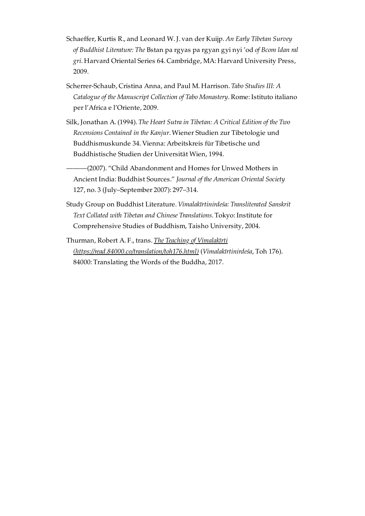- Schaeffer, Kurtis R., and Leonard W. J. van der Kuijp. *An Early Tibetan Survey of Buddhist Literature: The* Bstan pa rgyas pa rgyan gyi nyi 'od *of Bcom ldan ral gri*. Harvard Oriental Series 64. Cambridge, MA: Harvard University Press, 2009.
- Scherrer-Schaub, Cristina Anna, and Paul M. Harrison. *Tabo Studies III: A Catalogue of the Manuscript Collection of Tabo Monastery*. Rome: Istituto italiano per l'Africa e l'Oriente, 2009.
- Silk, Jonathan A. (1994). *The Heart Sutra in Tibetan: A Critical Edition of the Two Recensions Contained in the Kanjur*. Wiener Studien zur Tibetologie und Buddhismuskunde 34. Vienna: Arbeitskreis für Tibetische und Buddhistische Studien der Universität Wien, 1994.
	- -(2007). "Child Abandonment and Homes for Unwed Mothers in Ancient India: Buddhist Sources." *Journal of the American Oriental Society* 127, no. 3 (July–September 2007): 297–314.
- Study Group on Buddhist Literature. *Vimalakīrtinirdeśa: Transliterated Sanskrit Text Collated with Tibetan and Chinese Translations*. Tokyo: Institute for Comprehensive Studies of Buddhism, Taisho University, 2004.
- Thurman, Robert A. F., trans. *The Teaching of Vimalakīrti [\(https://read.84000.co/translation/toh176.html\)](https://read.84000.co/translation/toh176.html)* (*Vimalakīrtinirdeśa*, Toh 176). 84000: Translating the Words of the Buddha, 2017.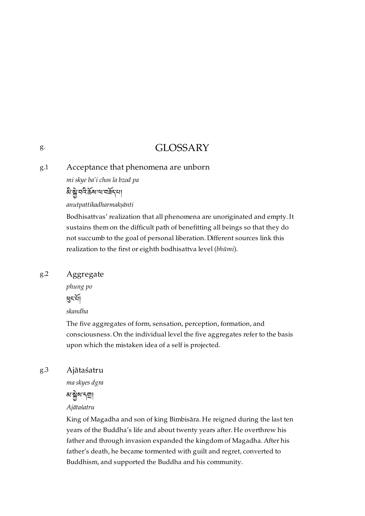## GLOSSARY

### <span id="page-38-1"></span>Acceptance that phenomena are unborn [g.1](#page-38-1)

*mi skye ba'i chos la bzod pa*

ষ্টাম্বন্টৰ্জন আনৰ্ষণ

*anutpattikadharmakṣānti*

Bodhisattvas' realization that all phenomena are unoriginated and empty. It sustains them on the difficult path of benefitting all beings so that they do not succumb to the goal of personal liberation. Different sources link this realization to the first or eighth bodhisattva level (*bhūmi*).

### <span id="page-38-2"></span>Aggregate [g.2](#page-38-2)

*phung po* ধ্ৰহাৰ্যা *skandha*

The five aggregates of form, sensation, perception, formation, and consciousness. On the individual level the five aggregates refer to the basis upon which the mistaken idea of a self is projected.

<span id="page-38-3"></span>Ajātaśatru [g.3](#page-38-3)

*ma skyes dgra*

*ম*'ক্লীম'ন্মা

*Ajātaśatru*

King of Magadha and son of king Bimbisāra. He reigned during the last ten years of the Buddha's life and about twenty years after. He overthrew his father and through invasion expanded the kingdom of Magadha. After his father's death, he became tormented with guilt and regret, converted to Buddhism, and supported the Buddha and his community.

<span id="page-38-0"></span>[g.](#page-38-0)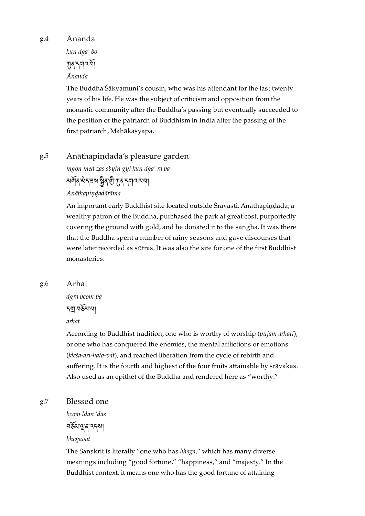Ānanda *kun dga' bo*

> <u>দ</u>াৰ'নগৰ'ৰ্মা *Ānanda*

The Buddha Śākyamuni's cousin, who was his attendant for the last twenty years of his life. He was the subject of criticism and opposition from the monastic community after the Buddha's passing but eventually succeeded to the position of the patriarch of Buddhism in India after the passing of the first patriarch, Mahākaśyapa.

### <span id="page-39-1"></span>Anāthapiṇḍada's pleasure garden [g.5](#page-39-1)

*mgon med zas sbyin gyi kun dga' ra ba* अर्वेदिकेन्चर बुद गुलुद नगर रा

*Anāthapiṇḍadārāma*

An important early Buddhist site located outside Śrāvasti. Anāthapindada, a wealthy patron of the Buddha, purchased the park at great cost, purportedly covering the ground with gold, and he donated it to the saṅgha. It was there that the Buddha spent a number of rainy seasons and gave discourses that were later recorded as sūtras. It was also the site for one of the first Buddhist monasteries.

#### <span id="page-39-2"></span>Arhat [g.6](#page-39-2)

*dgra bcom pa*

### <u>ন</u>য়ামর্ষরাখা

*arhat*

According to Buddhist tradition, one who is worthy of worship (*pūjām arhati*), or one who has conquered the enemies, the mental afflictions or emotions (*kleśa-ari-hata-vat*), and reached liberation from the cycle of rebirth and suffering. It is the fourth and highest of the four fruits attainable by śrāvakas. Also used as an epithet of the Buddha and rendered here as "worthy."

#### <span id="page-39-3"></span>Blessed one [g.7](#page-39-3)

*bcom ldan 'das*

བམ་ན་འདས།

### *bhagavat*

The Sanskrit is literally "one who has *bhaga*," which has many diverse meanings including "good fortune," "happiness," and "majesty." In the Buddhist context, it means one who has the good fortune of attaining

<span id="page-39-0"></span>[g.4](#page-39-0)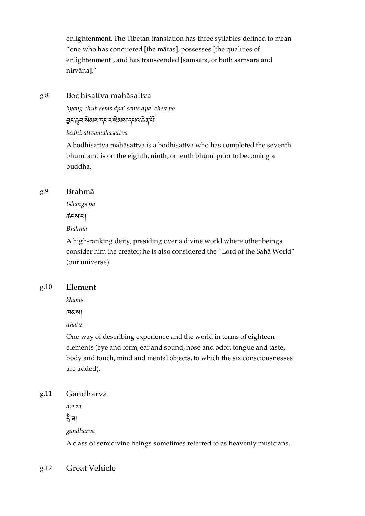enlightenment. The Tibetan translation has three syllables defined to mean "one who has conquered [the māras], possesses [the qualities of enlightenment], and has transcended [saṃsāra, or both saṃsāra and nirvāna]."

### <span id="page-40-0"></span>Bodhisattva mahāsattva [g.8](#page-40-0)

*byang chub sems dpa' sems dpa' chen po*

मुद्ध्वप्रेसब्य द्वयत्र से अर्था दिव देवी

*bodhisattvamahāsattva*

A bodhisattva mahāsattva is a bodhisattva who has completed the seventh bhūmi and is on the eighth, ninth, or tenth bhūmi prior to becoming a buddha.

### <span id="page-40-1"></span>Brahmā [g.9](#page-40-1)

*tshangs pa*

ཚངས་པ།

*Brahmā*

A high-ranking deity, presiding over a divine world where other beings consider him the creator; he is also considered the "Lord of the Sahā World" (our universe).

### <span id="page-40-2"></span>Element [g.10](#page-40-2)

*khams*

ཁམས།

*dhātu*

One way of describing experience and the world in terms of eighteen elements (eye and form, ear and sound, nose and odor, tongue and taste, body and touch, mind and mental objects, to which the six consciousnesses are added).

### <span id="page-40-3"></span>Gandharva [g.11](#page-40-3)

*dri za*

নিুঁ∃া

*gandharva*

A class of semidivine beings sometimes referred to as heavenly musicians.

### <span id="page-40-4"></span>Great Vehicle [g.12](#page-40-4)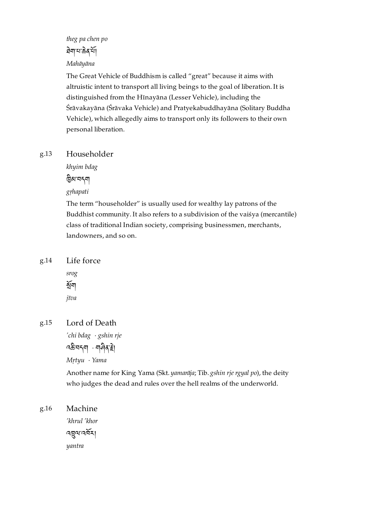### *theg pa chen po*

## ষিমাধাক্করশী

### *Mahāyāna*

The Great Vehicle of Buddhism is called "great" because it aims with altruistic intent to transport all living beings to the goal of liberation. It is distinguished from the Hīnayāna (Lesser Vehicle), including the Śrāvakayāna (Śrāvaka Vehicle) and Pratyekabuddhayāna (Solitary Buddha Vehicle), which allegedly aims to transport only its followers to their own personal liberation.

#### <span id="page-41-0"></span>Householder [g.13](#page-41-0)

*khyim bdag*

མ་བདག

*gṛhapati*

The term "householder" is usually used for wealthy lay patrons of the Buddhist community. It also refers to a subdivision of the vaiśya (mercantile) class of traditional Indian society, comprising businessmen, merchants, landowners, and so on.

<span id="page-41-1"></span>Life force [g.14](#page-41-1)



<span id="page-41-2"></span>Lord of Death [g.15](#page-41-2)

*'chi bdag* · *gshin rje*

 $\sqrt{33}$ ন্দ্ৰ · নাৰ্ণ ৰা

*Mṛtyu* · *Yama*

Another name for King Yama (Skt. *yamarāja*; Tib. *gshin rje rgyal po*), the deity who judges the dead and rules over the hell realms of the underworld.

### <span id="page-41-3"></span>Machine *'khrul 'khor* [g.16](#page-41-3)

འལ་འར། *yantra*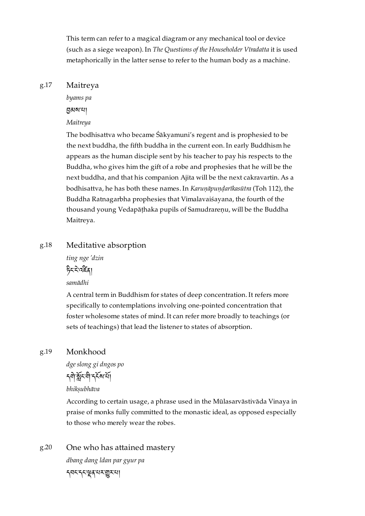This term can refer to a magical diagram or any mechanical tool or device (such as a siege weapon). In *The Questions of the Householder Vīradatta* it is used metaphorically in the latter sense to refer to the human body as a machine.

#### <span id="page-42-0"></span>Maitreya [g.17](#page-42-0)

*byams pa*

 $5$ बाबाया

### *Maitreya*

The bodhisattva who became Śākyamuni's regent and is prophesied to be the next buddha, the fifth buddha in the current eon. In early Buddhism he appears as the human disciple sent by his teacher to pay his respects to the Buddha, who gives him the gift of a robe and prophesies that he will be the next buddha, and that his companion Ajita will be the next cakravartin. As a bodhisattva, he has both these names. In *Karuṇāpuṇḍarīkasūtra* (Toh 112), the Buddha Ratnagarbha prophesies that Vimalavaiśayana, the fourth of the thousand young Vedapāṭhaka pupils of Samudrareṇu, will be the Buddha Maitreya.

### <span id="page-42-1"></span>Meditative absorption [g.18](#page-42-1)

*ting nge 'dzin* ང་་འན།

*samādhi*

A central term in Buddhism for states of deep concentration. It refers more specifically to contemplations involving one-pointed concentration that foster wholesome states of mind. It can refer more broadly to teachings (or sets of teachings) that lead the listener to states of absorption.

#### <span id="page-42-2"></span>Monkhood [g.19](#page-42-2)

*dge slong gi dngos po*

รุติหู้ระติ รุรัสห

### *bhikṣubhāva*

According to certain usage, a phrase used in the Mūlasarvāstivāda Vinaya in praise of monks fully committed to the monastic ideal, as opposed especially to those who merely wear the robes.

<span id="page-42-3"></span>One who has attained mastery *dbang dang ldan par gyur pa* དབང་དང་ན་པར་ར་པ། [g.20](#page-42-3)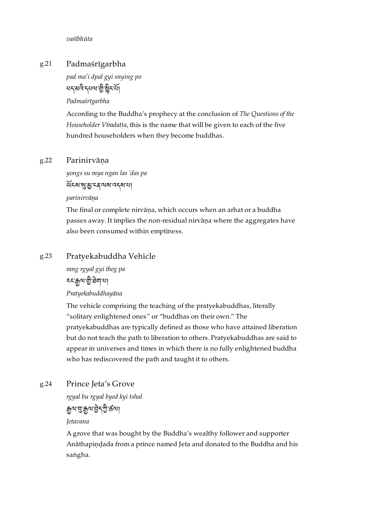*vaśībhūta*

### <span id="page-43-0"></span>Padmaśrīgarbha [g.21](#page-43-0)

*pad ma'i dpal gyi snying po* ยรุสเวิรุยญ ติรู้ระญี

*Padmaśrīgarbha*

According to the Buddha's prophecy at the conclusion of *The Questions of the Householder Vīradatta*, this is the name that will be given to each of the five hundred householders when they become buddhas.

### <span id="page-43-1"></span>Parinirvāna [g.22](#page-43-1)

*yongs su mya ngan las 'das pa*

ৰ্ঘিমস্মৃত্যু মৰ অক্ষত্ৰ মা

*parinirvāṇa*

The final or complete nirvāṇa, which occurs when an arhat or a buddha passes away. It implies the non-residual nirvāṇa where the aggregates have also been consumed within emptiness.

### <span id="page-43-2"></span>Pratyekabuddha Vehicle [g.23](#page-43-2)

*rang rgyal gyi theg pa* **হযক্কৰণ হীত্ৰবাৰ** 

*Pratyekabuddhayāna*

The vehicle comprising the teaching of the pratyekabuddhas, literally "solitary enlightened ones" or "buddhas on their own." The pratyekabuddhas are typically defined as those who have attained liberation but do not teach the path to liberation to others. Pratyekabuddhas are said to appear in universes and times in which there is no fully enlightened buddha who has rediscovered the path and taught it to others.

### <span id="page-43-3"></span>Prince Jeta's Grove [g.24](#page-43-3)

*rgyal bu rgyal byed kyi tshal*

ལ་་ལ་ད་་ཚལ།

*Jetavana*

A grove that was bought by the Buddha's wealthy follower and supporter Anāthapiṇḍada from a prince named Jeta and donated to the Buddha and his saṅgha.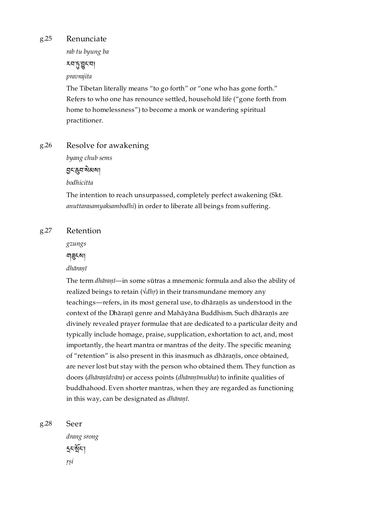#### <span id="page-44-0"></span>Renunciate [g.25](#page-44-0)

*rab tu byung ba*

རབ་་ང་བ།

# *pravrajita*

The Tibetan literally means "to go forth" or "one who has gone forth." Refers to who one has renounce settled, household life ("gone forth from home to homelessness") to become a monk or wandering spiritual practitioner.

#### <span id="page-44-1"></span>Resolve for awakening [g.26](#page-44-1)

*byang chub sems*

ང་བ་མས།

*bodhicitta*

The intention to reach unsurpassed, completely perfect awakening (Skt. *anuttarasamyaksambodhi*) in order to liberate all beings from suffering.

#### <span id="page-44-2"></span>Retention [g.27](#page-44-2)

*gzungs*

নাৱ্হমা

### *dhāraṇī*

The term *dhāraṇī*—in some sūtras a mnemonic formula and also the ability of realized beings to retain (*√dhṛ*) in their transmundane memory any teachings—refers, in its most general use, to dhāraṇīs as understood in the context of the Dhāraṇī genre and Mahāyāna Buddhism. Such dhāraṇīs are divinely revealed prayer formulae that are dedicated to a particular deity and typically include homage, praise, supplication, exhortation to act, and, most importantly, the heart mantra or mantras of the deity. The specific meaning of "retention" is also present in this inasmuch as dhāraṇīs, once obtained, are never lost but stay with the person who obtained them. They function as doors (*dhāraṇīdvāra*) or access points (*dhāraṇīmukha*) to infinite qualities of buddhahood. Even shorter mantras, when they are regarded as functioning in this way, can be designated as *dhāraṇī*.

<span id="page-44-3"></span>Seer [g.28](#page-44-3)

> *drang srong*  $55351$ *ṛṣi*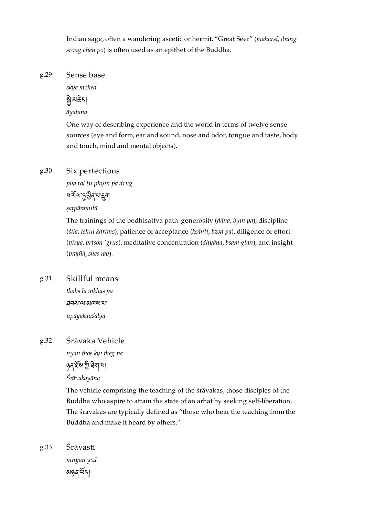Indian sage, often a wandering ascetic or hermit. "Great Seer" (*maharṣi*, *drang srong chen po*) is often used as an epithet of the Buddha.

#### <span id="page-45-0"></span>Sense base [g.29](#page-45-0)

*skye mched*

# য়ৢ৾<sup>৻</sup>য়ঌঽঀ

*āyatana*

One way of describing experience and the world in terms of twelve sense sources (eye and form, ear and sound, nose and odor, tongue and taste, body and touch, mind and mental objects).

### <span id="page-45-1"></span>Six perfections [g.30](#page-45-1)

*pha rol tu phyin pa drug*

ধার্মসংখ্যা

*ṣaṭpāramitā*

The trainings of the bodhisattva path: generosity (*dāna*, *byin pa*), discipline (*śīla*, *tshul khrims*), patience or acceptance (*kṣānti*, *bzod pa*), diligence or effort (*vīrya*, *brtson 'grus*), meditative concentration (*dhyāna*, *bsam gtan*), and insight (*prajñā*, *shes rab*).

### <span id="page-45-2"></span>Skillful means [g.31](#page-45-2)

*thabs la mkhas pa* ཐབས་ལ་མཁས་པ། *upāyakauśalya*

### <span id="page-45-3"></span>Śrāvaka Vehicle [g.32](#page-45-3)

*nyan thos kyi theg pa*

ঙৰ ষৰ্ষমাট্ট ঘৰা আ

*Śrāvakayāna*

The vehicle comprising the teaching of the śrāvakas, those disciples of the Buddha who aspire to attain the state of an arhat by seeking self-liberation. The śrāvakas are typically defined as "those who hear the teaching from the Buddha and make it heard by others."

<span id="page-45-4"></span>Śrāvastī *mnyan yod* མཉན་ད། [g.33](#page-45-4)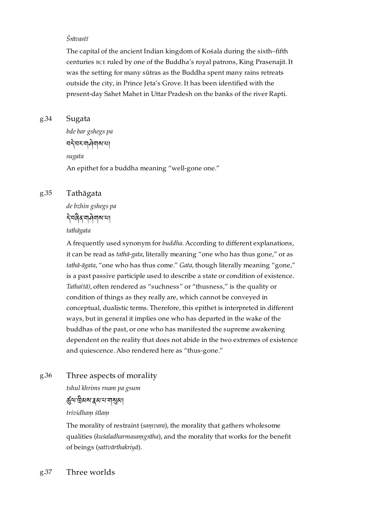### *Śrāvastī*

The capital of the ancient Indian kingdom of Kośala during the sixth–fifth centuries BCE ruled by one of the Buddha's royal patrons, King Prasenajit. It was the setting for many sūtras as the Buddha spent many rains retreats outside the city, in Prince Jeta's Grove. It has been identified with the present-day Sahet Mahet in Uttar Pradesh on the banks of the river Rapti.

### <span id="page-46-0"></span>Sugata [g.34](#page-46-0)

*bde bar gshegs pa* བ་བར་གགས་པ། *sugata* An epithet for a buddha meaning "well-gone one."

### <span id="page-46-1"></span>Tathāgata [g.35](#page-46-1)

*de bzhin gshegs pa* ་བན་གགས་པ།

*tathāgata*

A frequently used synonym for *buddha*. According to different explanations, it can be read as *tathā-gata*, literally meaning "one who has thus gone," or as *tathā-āgata*, "one who has thus come." *Gata*, though literally meaning "gone," is a past passive participle used to describe a state or condition of existence. *Tatha(tā)*, often rendered as "suchness" or "thusness," is the quality or condition of things as they really are, which cannot be conveyed in conceptual, dualistic terms. Therefore, this epithet is interpreted in different ways, but in general it implies one who has departed in the wake of the buddhas of the past, or one who has manifested the supreme awakening dependent on the reality that does not abide in the two extremes of existence and quiescence. Also rendered here as "thus-gone."

### <span id="page-46-2"></span>Three aspects of morality [g.36](#page-46-2)

*tshul khrims rnam pa gsum*

ৰ্দ্ৰুণ'ট্ৰিমম'ধ্ৰুম'ম'শামুমা

*trividhaṃ śīlaṃ*

The morality of restraint (*saṃvara*), the morality that gathers wholesome qualities (*kuśaladharmasaṃgrāha*), and the morality that works for the benefit of beings (*sattvārthakriyā*).

### <span id="page-46-3"></span>Three worlds [g.37](#page-46-3)